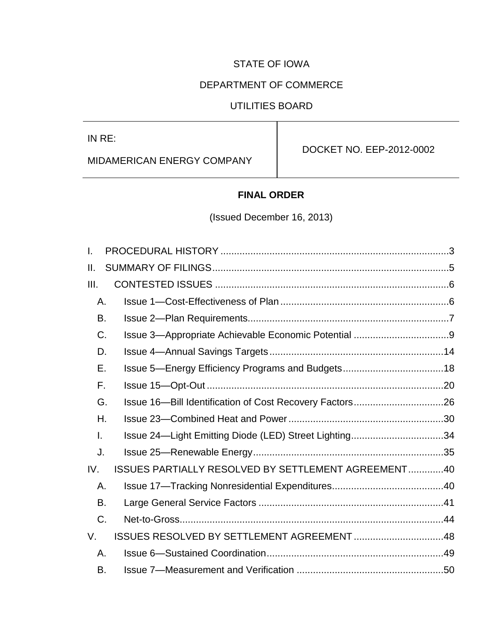## STATE OF IOWA

## DEPARTMENT OF COMMERCE

## UTILITIES BOARD

IN RE:

MIDAMERICAN ENERGY COMPANY

DOCKET NO. EEP-2012-0002

## **FINAL ORDER**

(Issued December 16, 2013)

| I.          |                                                       |  |
|-------------|-------------------------------------------------------|--|
| Н.          |                                                       |  |
| III.        |                                                       |  |
| Α.          |                                                       |  |
| В.          |                                                       |  |
| C.          |                                                       |  |
| D.          |                                                       |  |
| Е.          | Issue 5-Energy Efficiency Programs and Budgets18      |  |
| F.          |                                                       |  |
| G.          |                                                       |  |
| Η.          |                                                       |  |
| I.          | Issue 24-Light Emitting Diode (LED) Street Lighting34 |  |
| J.          |                                                       |  |
| IV.         | ISSUES PARTIALLY RESOLVED BY SETTLEMENT AGREEMENT40   |  |
| Α.          |                                                       |  |
| B.          |                                                       |  |
| $C_{\cdot}$ |                                                       |  |
| V.          | ISSUES RESOLVED BY SETTLEMENT AGREEMENT 48            |  |
| Α.          |                                                       |  |
| В.          |                                                       |  |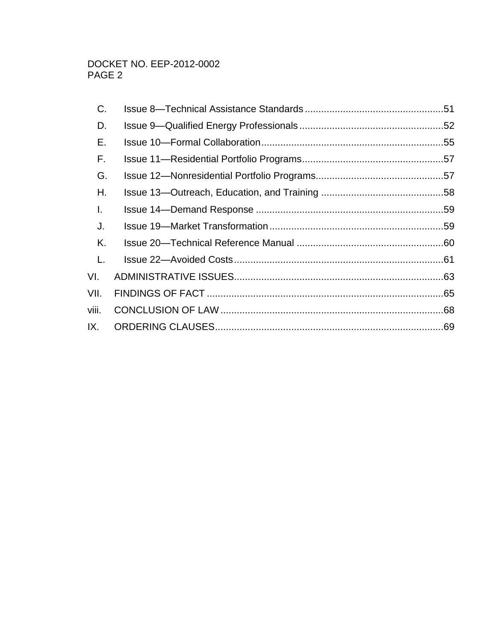| C.    |  |
|-------|--|
| D.    |  |
| Е.    |  |
| F.    |  |
| G.    |  |
| Η.    |  |
| I.    |  |
| J.    |  |
| Κ.    |  |
| L.    |  |
| VI.   |  |
| VII.  |  |
| viii. |  |
| IX.   |  |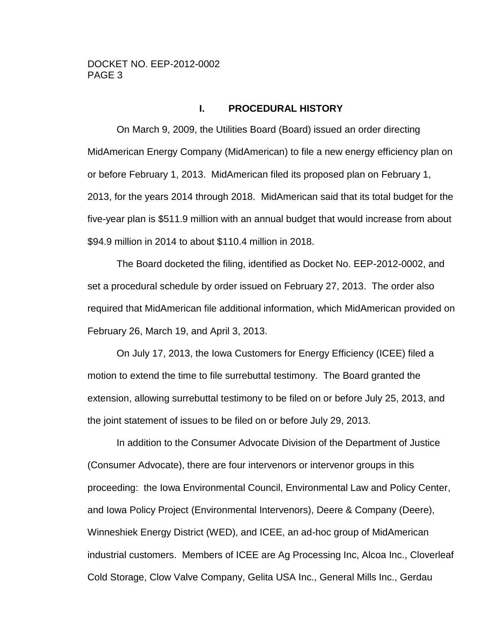## **I. PROCEDURAL HISTORY**

<span id="page-2-0"></span>On March 9, 2009, the Utilities Board (Board) issued an order directing MidAmerican Energy Company (MidAmerican) to file a new energy efficiency plan on or before February 1, 2013. MidAmerican filed its proposed plan on February 1, 2013, for the years 2014 through 2018. MidAmerican said that its total budget for the five-year plan is \$511.9 million with an annual budget that would increase from about \$94.9 million in 2014 to about \$110.4 million in 2018.

The Board docketed the filing, identified as Docket No. EEP-2012-0002, and set a procedural schedule by order issued on February 27, 2013. The order also required that MidAmerican file additional information, which MidAmerican provided on February 26, March 19, and April 3, 2013.

On July 17, 2013, the Iowa Customers for Energy Efficiency (ICEE) filed a motion to extend the time to file surrebuttal testimony. The Board granted the extension, allowing surrebuttal testimony to be filed on or before July 25, 2013, and the joint statement of issues to be filed on or before July 29, 2013.

In addition to the Consumer Advocate Division of the Department of Justice (Consumer Advocate), there are four intervenors or intervenor groups in this proceeding: the Iowa Environmental Council, Environmental Law and Policy Center, and Iowa Policy Project (Environmental Intervenors), Deere & Company (Deere), Winneshiek Energy District (WED), and ICEE, an ad-hoc group of MidAmerican industrial customers. Members of ICEE are Ag Processing Inc, Alcoa Inc., Cloverleaf Cold Storage, Clow Valve Company, Gelita USA Inc., General Mills Inc., Gerdau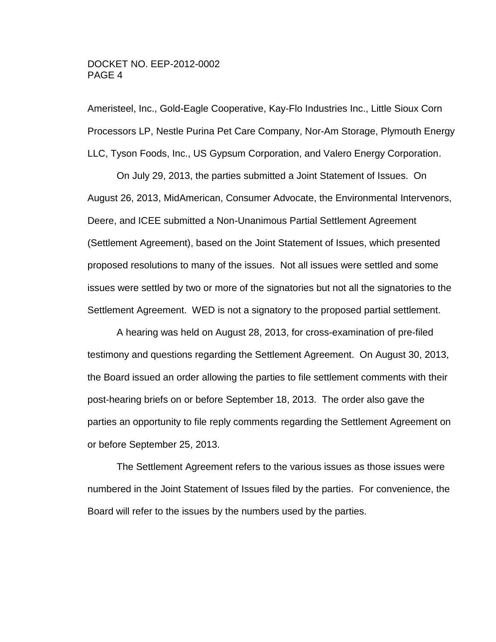Ameristeel, Inc., Gold-Eagle Cooperative, Kay-Flo Industries Inc., Little Sioux Corn Processors LP, Nestle Purina Pet Care Company, Nor-Am Storage, Plymouth Energy LLC, Tyson Foods, Inc., US Gypsum Corporation, and Valero Energy Corporation.

On July 29, 2013, the parties submitted a Joint Statement of Issues. On August 26, 2013, MidAmerican, Consumer Advocate, the Environmental Intervenors, Deere, and ICEE submitted a Non-Unanimous Partial Settlement Agreement (Settlement Agreement), based on the Joint Statement of Issues, which presented proposed resolutions to many of the issues. Not all issues were settled and some issues were settled by two or more of the signatories but not all the signatories to the Settlement Agreement. WED is not a signatory to the proposed partial settlement.

A hearing was held on August 28, 2013, for cross-examination of pre-filed testimony and questions regarding the Settlement Agreement. On August 30, 2013, the Board issued an order allowing the parties to file settlement comments with their post-hearing briefs on or before September 18, 2013. The order also gave the parties an opportunity to file reply comments regarding the Settlement Agreement on or before September 25, 2013.

The Settlement Agreement refers to the various issues as those issues were numbered in the Joint Statement of Issues filed by the parties. For convenience, the Board will refer to the issues by the numbers used by the parties.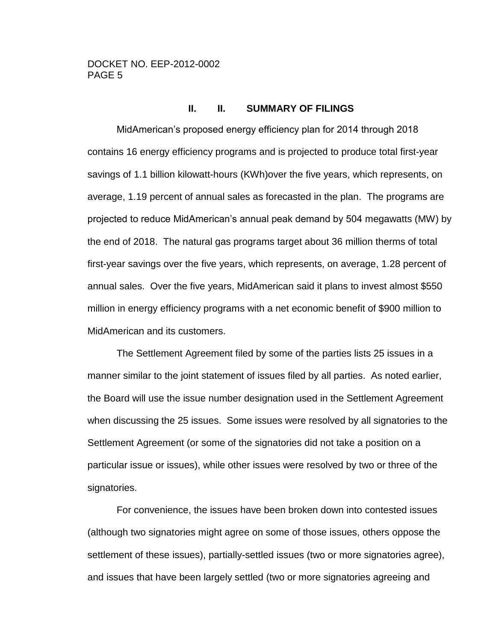#### **II. II. SUMMARY OF FILINGS**

<span id="page-4-0"></span>MidAmerican's proposed energy efficiency plan for 2014 through 2018 contains 16 energy efficiency programs and is projected to produce total first-year savings of 1.1 billion kilowatt-hours (KWh)over the five years, which represents, on average, 1.19 percent of annual sales as forecasted in the plan. The programs are projected to reduce MidAmerican's annual peak demand by 504 megawatts (MW) by the end of 2018. The natural gas programs target about 36 million therms of total first-year savings over the five years, which represents, on average, 1.28 percent of annual sales. Over the five years, MidAmerican said it plans to invest almost \$550 million in energy efficiency programs with a net economic benefit of \$900 million to MidAmerican and its customers.

The Settlement Agreement filed by some of the parties lists 25 issues in a manner similar to the joint statement of issues filed by all parties. As noted earlier, the Board will use the issue number designation used in the Settlement Agreement when discussing the 25 issues. Some issues were resolved by all signatories to the Settlement Agreement (or some of the signatories did not take a position on a particular issue or issues), while other issues were resolved by two or three of the signatories.

For convenience, the issues have been broken down into contested issues (although two signatories might agree on some of those issues, others oppose the settlement of these issues), partially-settled issues (two or more signatories agree), and issues that have been largely settled (two or more signatories agreeing and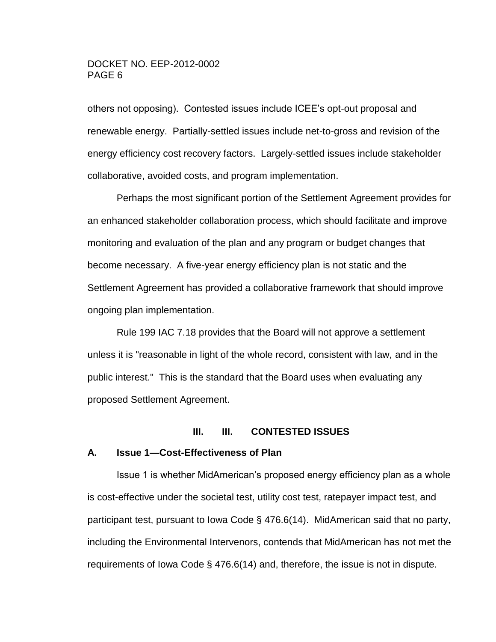others not opposing). Contested issues include ICEE's opt-out proposal and renewable energy. Partially-settled issues include net-to-gross and revision of the energy efficiency cost recovery factors. Largely-settled issues include stakeholder collaborative, avoided costs, and program implementation.

Perhaps the most significant portion of the Settlement Agreement provides for an enhanced stakeholder collaboration process, which should facilitate and improve monitoring and evaluation of the plan and any program or budget changes that become necessary. A five-year energy efficiency plan is not static and the Settlement Agreement has provided a collaborative framework that should improve ongoing plan implementation.

Rule 199 IAC 7.18 provides that the Board will not approve a settlement unless it is "reasonable in light of the whole record, consistent with law, and in the public interest." This is the standard that the Board uses when evaluating any proposed Settlement Agreement.

#### **III. III. CONTESTED ISSUES**

#### <span id="page-5-1"></span><span id="page-5-0"></span>**A. Issue 1—Cost-Effectiveness of Plan**

Issue 1 is whether MidAmerican's proposed energy efficiency plan as a whole is cost-effective under the societal test, utility cost test, ratepayer impact test, and participant test, pursuant to Iowa Code § 476.6(14). MidAmerican said that no party, including the Environmental Intervenors, contends that MidAmerican has not met the requirements of Iowa Code § 476.6(14) and, therefore, the issue is not in dispute.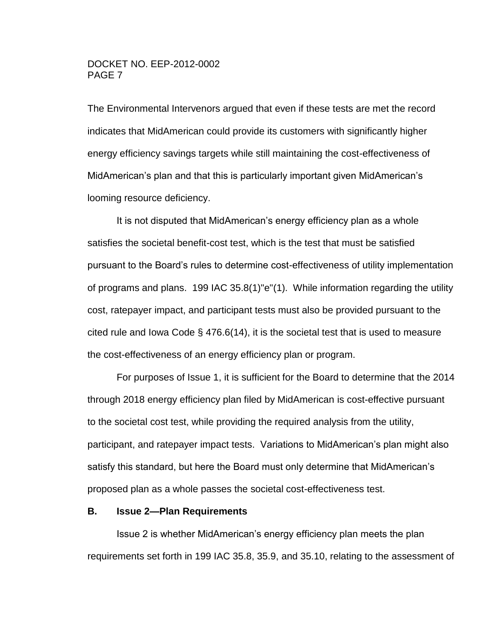The Environmental Intervenors argued that even if these tests are met the record indicates that MidAmerican could provide its customers with significantly higher energy efficiency savings targets while still maintaining the cost-effectiveness of MidAmerican's plan and that this is particularly important given MidAmerican's looming resource deficiency.

It is not disputed that MidAmerican's energy efficiency plan as a whole satisfies the societal benefit-cost test, which is the test that must be satisfied pursuant to the Board's rules to determine cost-effectiveness of utility implementation of programs and plans. 199 IAC 35.8(1)"e"(1). While information regarding the utility cost, ratepayer impact, and participant tests must also be provided pursuant to the cited rule and Iowa Code  $\S$  476.6(14), it is the societal test that is used to measure the cost-effectiveness of an energy efficiency plan or program.

For purposes of Issue 1, it is sufficient for the Board to determine that the 2014 through 2018 energy efficiency plan filed by MidAmerican is cost-effective pursuant to the societal cost test, while providing the required analysis from the utility, participant, and ratepayer impact tests. Variations to MidAmerican's plan might also satisfy this standard, but here the Board must only determine that MidAmerican's proposed plan as a whole passes the societal cost-effectiveness test.

#### <span id="page-6-0"></span>**B. Issue 2—Plan Requirements**

Issue 2 is whether MidAmerican's energy efficiency plan meets the plan requirements set forth in 199 IAC 35.8, 35.9, and 35.10, relating to the assessment of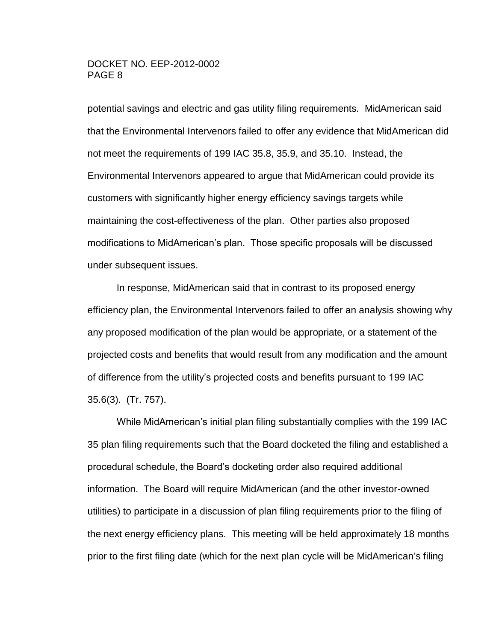potential savings and electric and gas utility filing requirements. MidAmerican said that the Environmental Intervenors failed to offer any evidence that MidAmerican did not meet the requirements of 199 IAC 35.8, 35.9, and 35.10. Instead, the Environmental Intervenors appeared to argue that MidAmerican could provide its customers with significantly higher energy efficiency savings targets while maintaining the cost-effectiveness of the plan. Other parties also proposed modifications to MidAmerican's plan. Those specific proposals will be discussed under subsequent issues.

In response, MidAmerican said that in contrast to its proposed energy efficiency plan, the Environmental Intervenors failed to offer an analysis showing why any proposed modification of the plan would be appropriate, or a statement of the projected costs and benefits that would result from any modification and the amount of difference from the utility's projected costs and benefits pursuant to 199 IAC 35.6(3). (Tr. 757).

While MidAmerican's initial plan filing substantially complies with the 199 IAC 35 plan filing requirements such that the Board docketed the filing and established a procedural schedule, the Board's docketing order also required additional information. The Board will require MidAmerican (and the other investor-owned utilities) to participate in a discussion of plan filing requirements prior to the filing of the next energy efficiency plans. This meeting will be held approximately 18 months prior to the first filing date (which for the next plan cycle will be MidAmerican's filing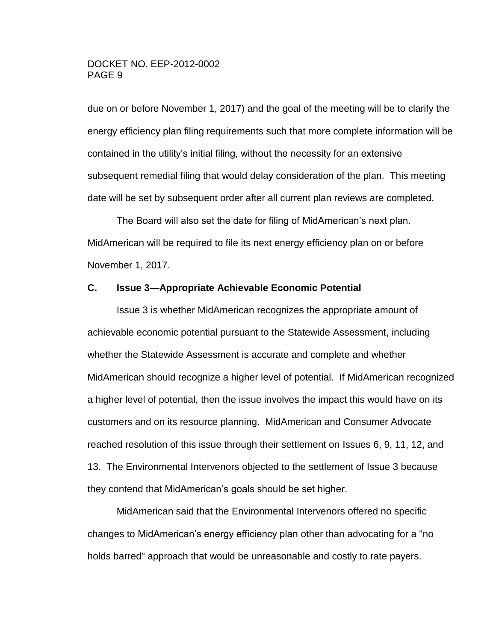due on or before November 1, 2017) and the goal of the meeting will be to clarify the energy efficiency plan filing requirements such that more complete information will be contained in the utility's initial filing, without the necessity for an extensive subsequent remedial filing that would delay consideration of the plan. This meeting date will be set by subsequent order after all current plan reviews are completed.

The Board will also set the date for filing of MidAmerican's next plan. MidAmerican will be required to file its next energy efficiency plan on or before November 1, 2017.

#### <span id="page-8-0"></span>**C. Issue 3—Appropriate Achievable Economic Potential**

Issue 3 is whether MidAmerican recognizes the appropriate amount of achievable economic potential pursuant to the Statewide Assessment, including whether the Statewide Assessment is accurate and complete and whether MidAmerican should recognize a higher level of potential. If MidAmerican recognized a higher level of potential, then the issue involves the impact this would have on its customers and on its resource planning. MidAmerican and Consumer Advocate reached resolution of this issue through their settlement on Issues 6, 9, 11, 12, and 13. The Environmental Intervenors objected to the settlement of Issue 3 because they contend that MidAmerican's goals should be set higher.

MidAmerican said that the Environmental Intervenors offered no specific changes to MidAmerican's energy efficiency plan other than advocating for a "no holds barred" approach that would be unreasonable and costly to rate payers.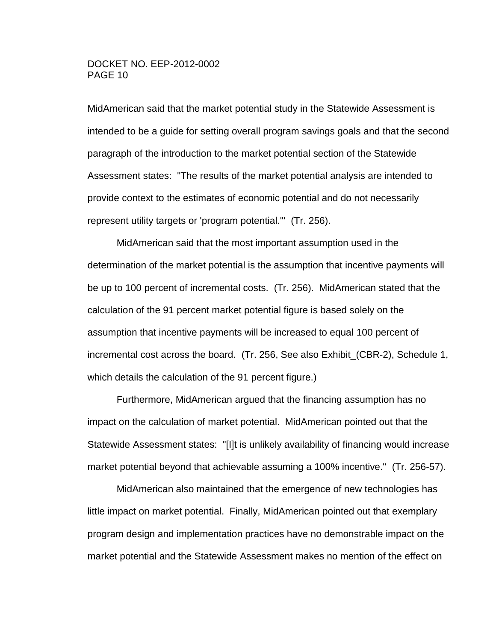MidAmerican said that the market potential study in the Statewide Assessment is intended to be a guide for setting overall program savings goals and that the second paragraph of the introduction to the market potential section of the Statewide Assessment states: "The results of the market potential analysis are intended to provide context to the estimates of economic potential and do not necessarily represent utility targets or 'program potential.'" (Tr. 256).

MidAmerican said that the most important assumption used in the determination of the market potential is the assumption that incentive payments will be up to 100 percent of incremental costs. (Tr. 256). MidAmerican stated that the calculation of the 91 percent market potential figure is based solely on the assumption that incentive payments will be increased to equal 100 percent of incremental cost across the board. (Tr. 256, See also Exhibit\_(CBR-2), Schedule 1, which details the calculation of the 91 percent figure.)

Furthermore, MidAmerican argued that the financing assumption has no impact on the calculation of market potential. MidAmerican pointed out that the Statewide Assessment states: "[I]t is unlikely availability of financing would increase market potential beyond that achievable assuming a 100% incentive." (Tr. 256-57).

MidAmerican also maintained that the emergence of new technologies has little impact on market potential. Finally, MidAmerican pointed out that exemplary program design and implementation practices have no demonstrable impact on the market potential and the Statewide Assessment makes no mention of the effect on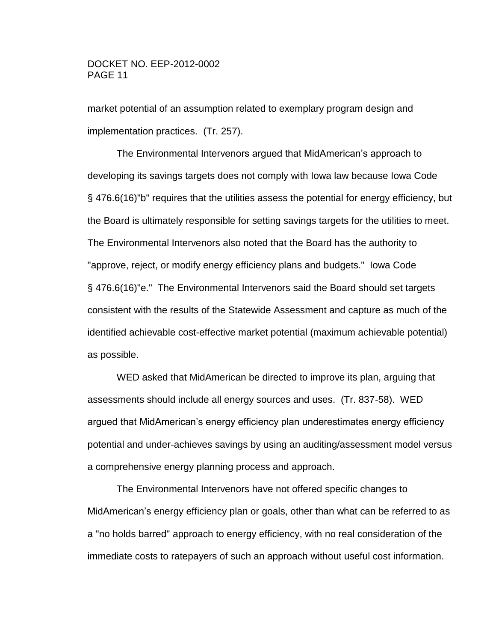market potential of an assumption related to exemplary program design and implementation practices. (Tr. 257).

The Environmental Intervenors argued that MidAmerican's approach to developing its savings targets does not comply with Iowa law because Iowa Code § 476.6(16)"b" requires that the utilities assess the potential for energy efficiency, but the Board is ultimately responsible for setting savings targets for the utilities to meet. The Environmental Intervenors also noted that the Board has the authority to "approve, reject, or modify energy efficiency plans and budgets." Iowa Code § 476.6(16)"e." The Environmental Intervenors said the Board should set targets consistent with the results of the Statewide Assessment and capture as much of the identified achievable cost-effective market potential (maximum achievable potential) as possible.

WED asked that MidAmerican be directed to improve its plan, arguing that assessments should include all energy sources and uses. (Tr. 837-58). WED argued that MidAmerican's energy efficiency plan underestimates energy efficiency potential and under-achieves savings by using an auditing/assessment model versus a comprehensive energy planning process and approach.

The Environmental Intervenors have not offered specific changes to MidAmerican's energy efficiency plan or goals, other than what can be referred to as a "no holds barred" approach to energy efficiency, with no real consideration of the immediate costs to ratepayers of such an approach without useful cost information.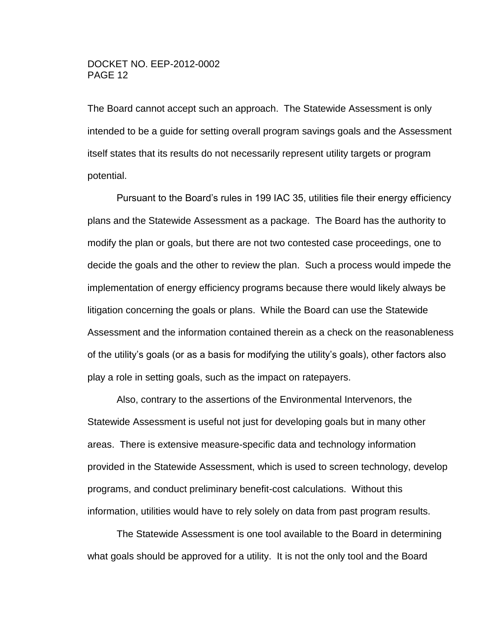The Board cannot accept such an approach. The Statewide Assessment is only intended to be a guide for setting overall program savings goals and the Assessment itself states that its results do not necessarily represent utility targets or program potential.

Pursuant to the Board's rules in 199 IAC 35, utilities file their energy efficiency plans and the Statewide Assessment as a package. The Board has the authority to modify the plan or goals, but there are not two contested case proceedings, one to decide the goals and the other to review the plan. Such a process would impede the implementation of energy efficiency programs because there would likely always be litigation concerning the goals or plans. While the Board can use the Statewide Assessment and the information contained therein as a check on the reasonableness of the utility's goals (or as a basis for modifying the utility's goals), other factors also play a role in setting goals, such as the impact on ratepayers.

Also, contrary to the assertions of the Environmental Intervenors, the Statewide Assessment is useful not just for developing goals but in many other areas. There is extensive measure-specific data and technology information provided in the Statewide Assessment, which is used to screen technology, develop programs, and conduct preliminary benefit-cost calculations. Without this information, utilities would have to rely solely on data from past program results.

The Statewide Assessment is one tool available to the Board in determining what goals should be approved for a utility. It is not the only tool and the Board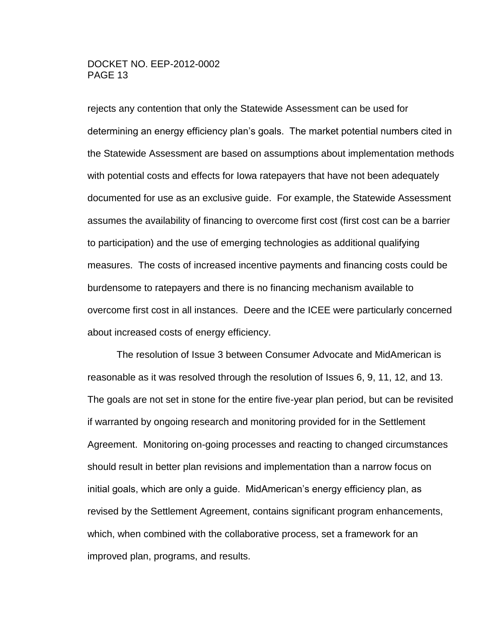rejects any contention that only the Statewide Assessment can be used for determining an energy efficiency plan's goals. The market potential numbers cited in the Statewide Assessment are based on assumptions about implementation methods with potential costs and effects for Iowa ratepayers that have not been adequately documented for use as an exclusive guide. For example, the Statewide Assessment assumes the availability of financing to overcome first cost (first cost can be a barrier to participation) and the use of emerging technologies as additional qualifying measures. The costs of increased incentive payments and financing costs could be burdensome to ratepayers and there is no financing mechanism available to overcome first cost in all instances. Deere and the ICEE were particularly concerned about increased costs of energy efficiency.

The resolution of Issue 3 between Consumer Advocate and MidAmerican is reasonable as it was resolved through the resolution of Issues 6, 9, 11, 12, and 13. The goals are not set in stone for the entire five-year plan period, but can be revisited if warranted by ongoing research and monitoring provided for in the Settlement Agreement. Monitoring on-going processes and reacting to changed circumstances should result in better plan revisions and implementation than a narrow focus on initial goals, which are only a guide. MidAmerican's energy efficiency plan, as revised by the Settlement Agreement, contains significant program enhancements, which, when combined with the collaborative process, set a framework for an improved plan, programs, and results.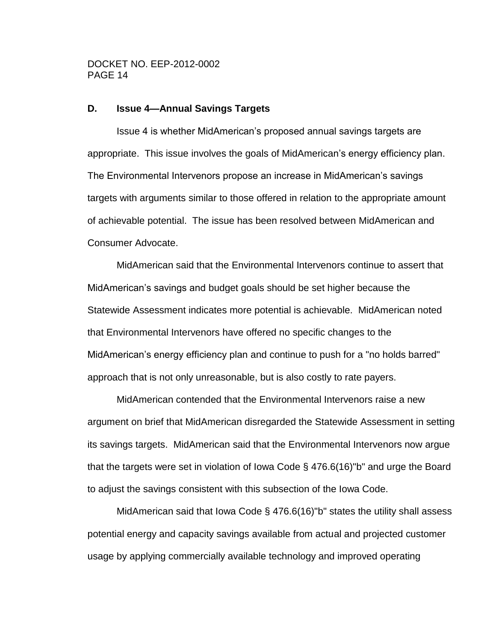#### <span id="page-13-0"></span>**D. Issue 4—Annual Savings Targets**

Issue 4 is whether MidAmerican's proposed annual savings targets are appropriate. This issue involves the goals of MidAmerican's energy efficiency plan. The Environmental Intervenors propose an increase in MidAmerican's savings targets with arguments similar to those offered in relation to the appropriate amount of achievable potential. The issue has been resolved between MidAmerican and Consumer Advocate.

MidAmerican said that the Environmental Intervenors continue to assert that MidAmerican's savings and budget goals should be set higher because the Statewide Assessment indicates more potential is achievable. MidAmerican noted that Environmental Intervenors have offered no specific changes to the MidAmerican's energy efficiency plan and continue to push for a "no holds barred" approach that is not only unreasonable, but is also costly to rate payers.

MidAmerican contended that the Environmental Intervenors raise a new argument on brief that MidAmerican disregarded the Statewide Assessment in setting its savings targets. MidAmerican said that the Environmental Intervenors now argue that the targets were set in violation of Iowa Code § 476.6(16)"b" and urge the Board to adjust the savings consistent with this subsection of the Iowa Code.

MidAmerican said that Iowa Code § 476.6(16)"b" states the utility shall assess potential energy and capacity savings available from actual and projected customer usage by applying commercially available technology and improved operating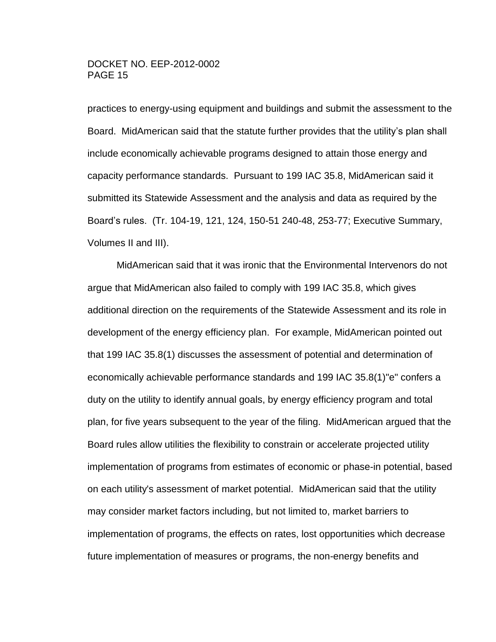practices to energy-using equipment and buildings and submit the assessment to the Board. MidAmerican said that the statute further provides that the utility's plan shall include economically achievable programs designed to attain those energy and capacity performance standards. Pursuant to 199 IAC 35.8, MidAmerican said it submitted its Statewide Assessment and the analysis and data as required by the Board's rules. (Tr. 104-19, 121, 124, 150-51 240-48, 253-77; Executive Summary, Volumes II and III).

MidAmerican said that it was ironic that the Environmental Intervenors do not argue that MidAmerican also failed to comply with 199 IAC 35.8, which gives additional direction on the requirements of the Statewide Assessment and its role in development of the energy efficiency plan. For example, MidAmerican pointed out that 199 IAC 35.8(1) discusses the assessment of potential and determination of economically achievable performance standards and 199 IAC 35.8(1)"e" confers a duty on the utility to identify annual goals, by energy efficiency program and total plan, for five years subsequent to the year of the filing. MidAmerican argued that the Board rules allow utilities the flexibility to constrain or accelerate projected utility implementation of programs from estimates of economic or phase-in potential, based on each utility's assessment of market potential. MidAmerican said that the utility may consider market factors including, but not limited to, market barriers to implementation of programs, the effects on rates, lost opportunities which decrease future implementation of measures or programs, the non-energy benefits and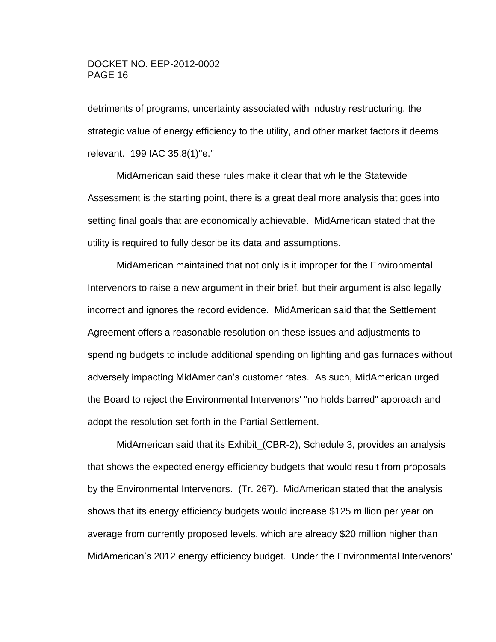detriments of programs, uncertainty associated with industry restructuring, the strategic value of energy efficiency to the utility, and other market factors it deems relevant. 199 IAC 35.8(1)"e."

MidAmerican said these rules make it clear that while the Statewide Assessment is the starting point, there is a great deal more analysis that goes into setting final goals that are economically achievable. MidAmerican stated that the utility is required to fully describe its data and assumptions.

MidAmerican maintained that not only is it improper for the Environmental Intervenors to raise a new argument in their brief, but their argument is also legally incorrect and ignores the record evidence. MidAmerican said that the Settlement Agreement offers a reasonable resolution on these issues and adjustments to spending budgets to include additional spending on lighting and gas furnaces without adversely impacting MidAmerican's customer rates. As such, MidAmerican urged the Board to reject the Environmental Intervenors' "no holds barred" approach and adopt the resolution set forth in the Partial Settlement.

MidAmerican said that its Exhibit\_(CBR-2), Schedule 3, provides an analysis that shows the expected energy efficiency budgets that would result from proposals by the Environmental Intervenors. (Tr. 267). MidAmerican stated that the analysis shows that its energy efficiency budgets would increase \$125 million per year on average from currently proposed levels, which are already \$20 million higher than MidAmerican's 2012 energy efficiency budget. Under the Environmental Intervenors'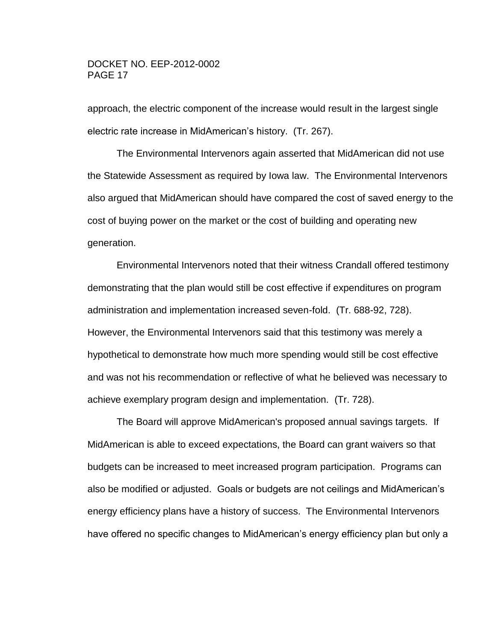approach, the electric component of the increase would result in the largest single electric rate increase in MidAmerican's history. (Tr. 267).

The Environmental Intervenors again asserted that MidAmerican did not use the Statewide Assessment as required by Iowa law. The Environmental Intervenors also argued that MidAmerican should have compared the cost of saved energy to the cost of buying power on the market or the cost of building and operating new generation.

Environmental Intervenors noted that their witness Crandall offered testimony demonstrating that the plan would still be cost effective if expenditures on program administration and implementation increased seven-fold. (Tr. 688-92, 728). However, the Environmental Intervenors said that this testimony was merely a hypothetical to demonstrate how much more spending would still be cost effective and was not his recommendation or reflective of what he believed was necessary to achieve exemplary program design and implementation. (Tr. 728).

The Board will approve MidAmerican's proposed annual savings targets. If MidAmerican is able to exceed expectations, the Board can grant waivers so that budgets can be increased to meet increased program participation. Programs can also be modified or adjusted. Goals or budgets are not ceilings and MidAmerican's energy efficiency plans have a history of success. The Environmental Intervenors have offered no specific changes to MidAmerican's energy efficiency plan but only a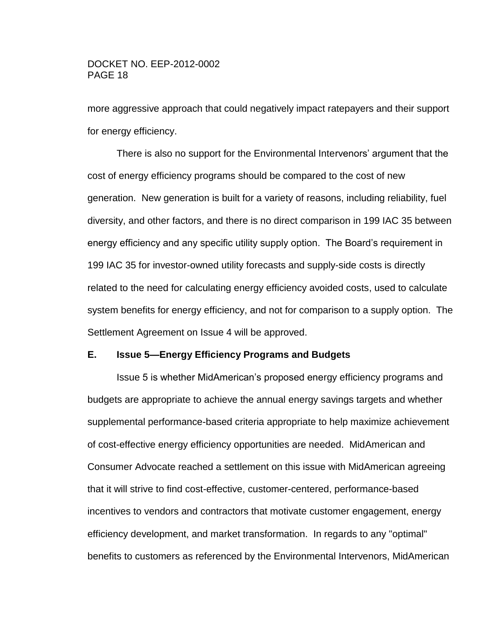more aggressive approach that could negatively impact ratepayers and their support for energy efficiency.

There is also no support for the Environmental Intervenors' argument that the cost of energy efficiency programs should be compared to the cost of new generation. New generation is built for a variety of reasons, including reliability, fuel diversity, and other factors, and there is no direct comparison in 199 IAC 35 between energy efficiency and any specific utility supply option. The Board's requirement in 199 IAC 35 for investor-owned utility forecasts and supply-side costs is directly related to the need for calculating energy efficiency avoided costs, used to calculate system benefits for energy efficiency, and not for comparison to a supply option. The Settlement Agreement on Issue 4 will be approved.

#### <span id="page-17-0"></span>**E. Issue 5—Energy Efficiency Programs and Budgets**

Issue 5 is whether MidAmerican's proposed energy efficiency programs and budgets are appropriate to achieve the annual energy savings targets and whether supplemental performance-based criteria appropriate to help maximize achievement of cost-effective energy efficiency opportunities are needed. MidAmerican and Consumer Advocate reached a settlement on this issue with MidAmerican agreeing that it will strive to find cost-effective, customer-centered, performance-based incentives to vendors and contractors that motivate customer engagement, energy efficiency development, and market transformation. In regards to any "optimal" benefits to customers as referenced by the Environmental Intervenors, MidAmerican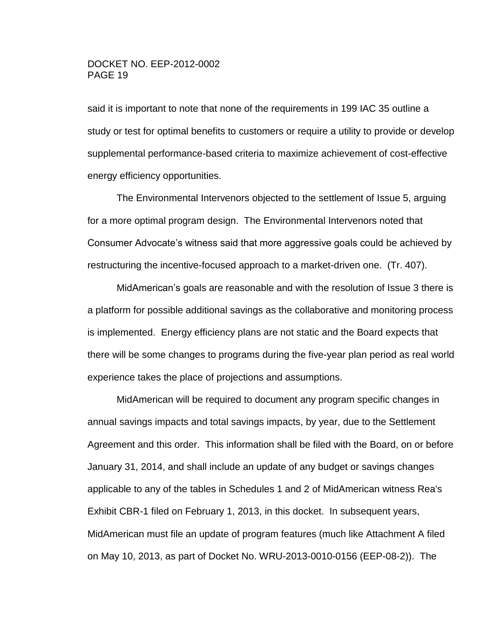said it is important to note that none of the requirements in 199 IAC 35 outline a study or test for optimal benefits to customers or require a utility to provide or develop supplemental performance-based criteria to maximize achievement of cost-effective energy efficiency opportunities.

The Environmental Intervenors objected to the settlement of Issue 5, arguing for a more optimal program design. The Environmental Intervenors noted that Consumer Advocate's witness said that more aggressive goals could be achieved by restructuring the incentive-focused approach to a market-driven one. (Tr. 407).

MidAmerican's goals are reasonable and with the resolution of Issue 3 there is a platform for possible additional savings as the collaborative and monitoring process is implemented. Energy efficiency plans are not static and the Board expects that there will be some changes to programs during the five-year plan period as real world experience takes the place of projections and assumptions.

MidAmerican will be required to document any program specific changes in annual savings impacts and total savings impacts, by year, due to the Settlement Agreement and this order. This information shall be filed with the Board, on or before January 31, 2014, and shall include an update of any budget or savings changes applicable to any of the tables in Schedules 1 and 2 of MidAmerican witness Rea's Exhibit CBR-1 filed on February 1, 2013, in this docket. In subsequent years, MidAmerican must file an update of program features (much like Attachment A filed on May 10, 2013, as part of Docket No. WRU-2013-0010-0156 (EEP-08-2)). The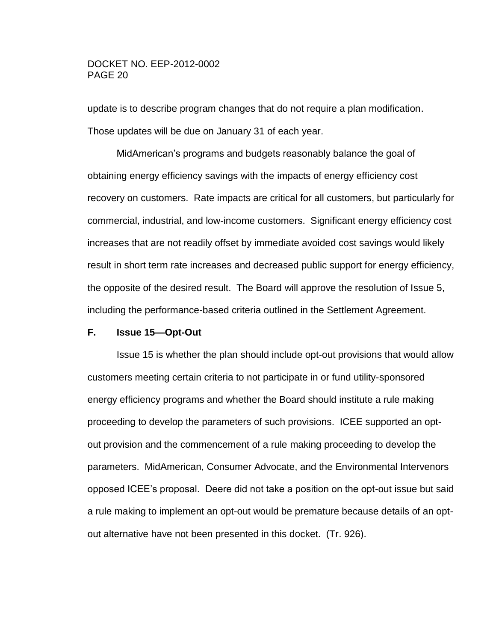update is to describe program changes that do not require a plan modification. Those updates will be due on January 31 of each year.

MidAmerican's programs and budgets reasonably balance the goal of obtaining energy efficiency savings with the impacts of energy efficiency cost recovery on customers. Rate impacts are critical for all customers, but particularly for commercial, industrial, and low-income customers. Significant energy efficiency cost increases that are not readily offset by immediate avoided cost savings would likely result in short term rate increases and decreased public support for energy efficiency, the opposite of the desired result. The Board will approve the resolution of Issue 5, including the performance-based criteria outlined in the Settlement Agreement.

## <span id="page-19-0"></span>**F. Issue 15—Opt-Out**

Issue 15 is whether the plan should include opt-out provisions that would allow customers meeting certain criteria to not participate in or fund utility-sponsored energy efficiency programs and whether the Board should institute a rule making proceeding to develop the parameters of such provisions. ICEE supported an optout provision and the commencement of a rule making proceeding to develop the parameters. MidAmerican, Consumer Advocate, and the Environmental Intervenors opposed ICEE's proposal. Deere did not take a position on the opt-out issue but said a rule making to implement an opt-out would be premature because details of an optout alternative have not been presented in this docket. (Tr. 926).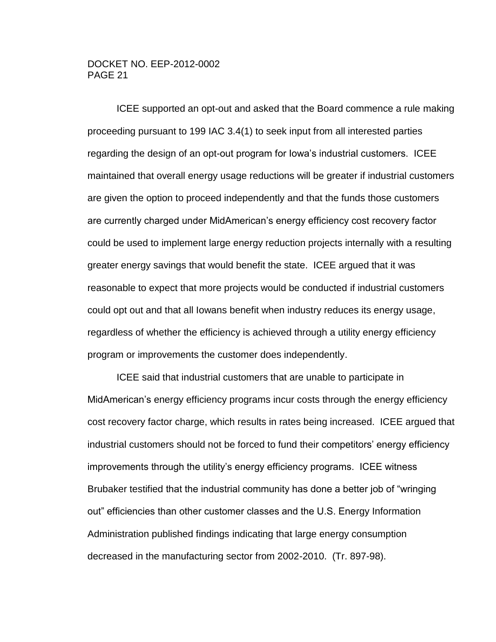ICEE supported an opt-out and asked that the Board commence a rule making proceeding pursuant to 199 IAC 3.4(1) to seek input from all interested parties regarding the design of an opt-out program for Iowa's industrial customers. ICEE maintained that overall energy usage reductions will be greater if industrial customers are given the option to proceed independently and that the funds those customers are currently charged under MidAmerican's energy efficiency cost recovery factor could be used to implement large energy reduction projects internally with a resulting greater energy savings that would benefit the state. ICEE argued that it was reasonable to expect that more projects would be conducted if industrial customers could opt out and that all Iowans benefit when industry reduces its energy usage, regardless of whether the efficiency is achieved through a utility energy efficiency program or improvements the customer does independently.

ICEE said that industrial customers that are unable to participate in MidAmerican's energy efficiency programs incur costs through the energy efficiency cost recovery factor charge, which results in rates being increased. ICEE argued that industrial customers should not be forced to fund their competitors' energy efficiency improvements through the utility's energy efficiency programs. ICEE witness Brubaker testified that the industrial community has done a better job of "wringing out" efficiencies than other customer classes and the U.S. Energy Information Administration published findings indicating that large energy consumption decreased in the manufacturing sector from 2002-2010. (Tr. 897-98).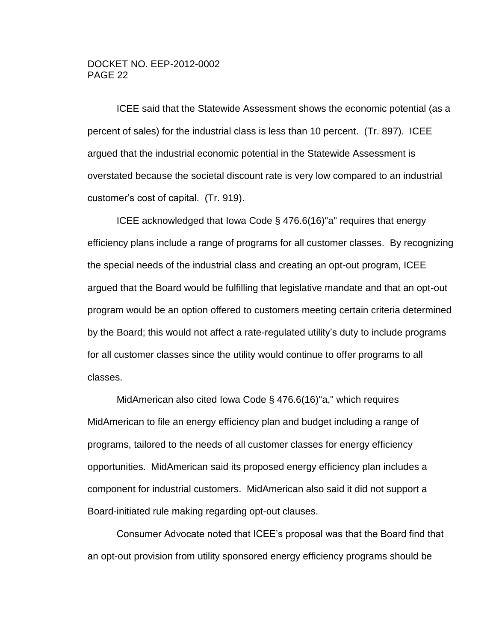ICEE said that the Statewide Assessment shows the economic potential (as a percent of sales) for the industrial class is less than 10 percent. (Tr. 897). ICEE argued that the industrial economic potential in the Statewide Assessment is overstated because the societal discount rate is very low compared to an industrial customer's cost of capital. (Tr. 919).

ICEE acknowledged that Iowa Code § 476.6(16)"a" requires that energy efficiency plans include a range of programs for all customer classes. By recognizing the special needs of the industrial class and creating an opt-out program, ICEE argued that the Board would be fulfilling that legislative mandate and that an opt-out program would be an option offered to customers meeting certain criteria determined by the Board; this would not affect a rate-regulated utility's duty to include programs for all customer classes since the utility would continue to offer programs to all classes.

MidAmerican also cited Iowa Code § 476.6(16)"a," which requires MidAmerican to file an energy efficiency plan and budget including a range of programs, tailored to the needs of all customer classes for energy efficiency opportunities. MidAmerican said its proposed energy efficiency plan includes a component for industrial customers. MidAmerican also said it did not support a Board-initiated rule making regarding opt-out clauses.

Consumer Advocate noted that ICEE's proposal was that the Board find that an opt-out provision from utility sponsored energy efficiency programs should be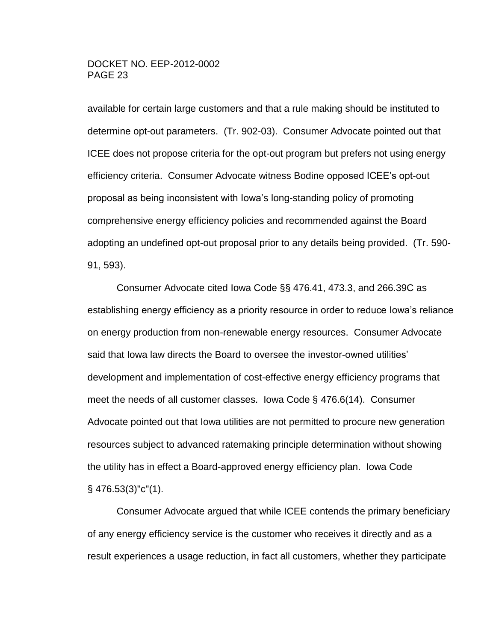available for certain large customers and that a rule making should be instituted to determine opt-out parameters. (Tr. 902-03). Consumer Advocate pointed out that ICEE does not propose criteria for the opt-out program but prefers not using energy efficiency criteria. Consumer Advocate witness Bodine opposed ICEE's opt-out proposal as being inconsistent with Iowa's long-standing policy of promoting comprehensive energy efficiency policies and recommended against the Board adopting an undefined opt-out proposal prior to any details being provided. (Tr. 590- 91, 593).

Consumer Advocate cited Iowa Code §§ 476.41, 473.3, and 266.39C as establishing energy efficiency as a priority resource in order to reduce Iowa's reliance on energy production from non-renewable energy resources. Consumer Advocate said that Iowa law directs the Board to oversee the investor-owned utilities' development and implementation of cost-effective energy efficiency programs that meet the needs of all customer classes. Iowa Code § 476.6(14). Consumer Advocate pointed out that Iowa utilities are not permitted to procure new generation resources subject to advanced ratemaking principle determination without showing the utility has in effect a Board-approved energy efficiency plan. Iowa Code § 476.53(3)"c"(1).

Consumer Advocate argued that while ICEE contends the primary beneficiary of any energy efficiency service is the customer who receives it directly and as a result experiences a usage reduction, in fact all customers, whether they participate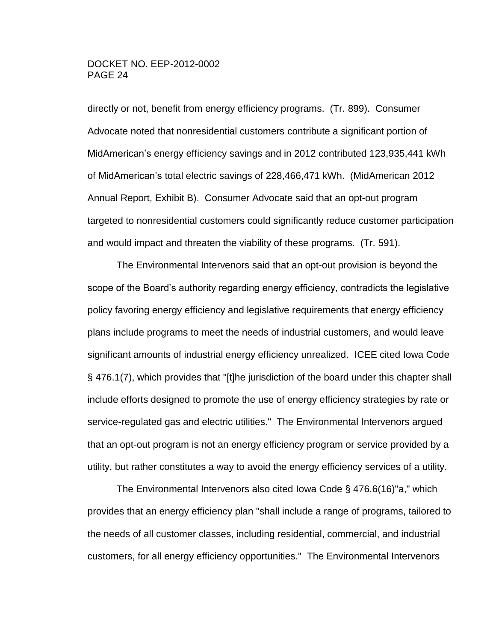directly or not, benefit from energy efficiency programs. (Tr. 899). Consumer Advocate noted that nonresidential customers contribute a significant portion of MidAmerican's energy efficiency savings and in 2012 contributed 123,935,441 kWh of MidAmerican's total electric savings of 228,466,471 kWh. (MidAmerican 2012 Annual Report, Exhibit B). Consumer Advocate said that an opt-out program targeted to nonresidential customers could significantly reduce customer participation and would impact and threaten the viability of these programs. (Tr. 591).

The Environmental Intervenors said that an opt-out provision is beyond the scope of the Board's authority regarding energy efficiency, contradicts the legislative policy favoring energy efficiency and legislative requirements that energy efficiency plans include programs to meet the needs of industrial customers, and would leave significant amounts of industrial energy efficiency unrealized. ICEE cited Iowa Code § 476.1(7), which provides that "[t]he jurisdiction of the board under this chapter shall include efforts designed to promote the use of energy efficiency strategies by rate or service-regulated gas and electric utilities." The Environmental Intervenors argued that an opt-out program is not an energy efficiency program or service provided by a utility, but rather constitutes a way to avoid the energy efficiency services of a utility.

The Environmental Intervenors also cited Iowa Code § 476.6(16)"a," which provides that an energy efficiency plan "shall include a range of programs, tailored to the needs of all customer classes, including residential, commercial, and industrial customers, for all energy efficiency opportunities." The Environmental Intervenors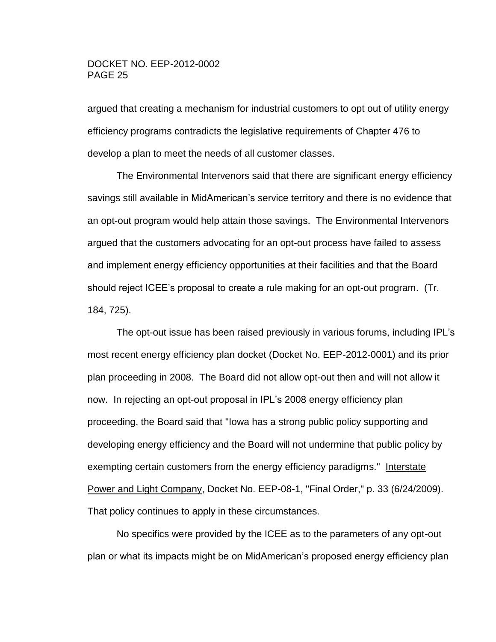argued that creating a mechanism for industrial customers to opt out of utility energy efficiency programs contradicts the legislative requirements of Chapter 476 to develop a plan to meet the needs of all customer classes.

The Environmental Intervenors said that there are significant energy efficiency savings still available in MidAmerican's service territory and there is no evidence that an opt-out program would help attain those savings. The Environmental Intervenors argued that the customers advocating for an opt-out process have failed to assess and implement energy efficiency opportunities at their facilities and that the Board should reject ICEE's proposal to create a rule making for an opt-out program. (Tr. 184, 725).

The opt-out issue has been raised previously in various forums, including IPL's most recent energy efficiency plan docket (Docket No. EEP-2012-0001) and its prior plan proceeding in 2008. The Board did not allow opt-out then and will not allow it now. In rejecting an opt-out proposal in IPL's 2008 energy efficiency plan proceeding, the Board said that "Iowa has a strong public policy supporting and developing energy efficiency and the Board will not undermine that public policy by exempting certain customers from the energy efficiency paradigms." Interstate Power and Light Company, Docket No. EEP-08-1, "Final Order," p. 33 (6/24/2009). That policy continues to apply in these circumstances.

No specifics were provided by the ICEE as to the parameters of any opt-out plan or what its impacts might be on MidAmerican's proposed energy efficiency plan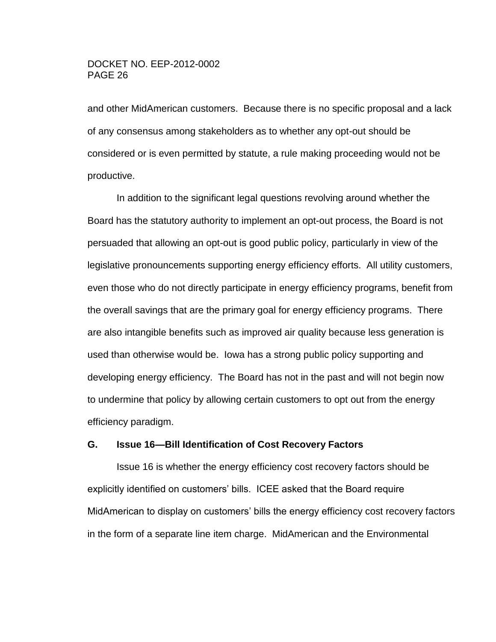and other MidAmerican customers. Because there is no specific proposal and a lack of any consensus among stakeholders as to whether any opt-out should be considered or is even permitted by statute, a rule making proceeding would not be productive.

In addition to the significant legal questions revolving around whether the Board has the statutory authority to implement an opt-out process, the Board is not persuaded that allowing an opt-out is good public policy, particularly in view of the legislative pronouncements supporting energy efficiency efforts. All utility customers, even those who do not directly participate in energy efficiency programs, benefit from the overall savings that are the primary goal for energy efficiency programs. There are also intangible benefits such as improved air quality because less generation is used than otherwise would be. Iowa has a strong public policy supporting and developing energy efficiency. The Board has not in the past and will not begin now to undermine that policy by allowing certain customers to opt out from the energy efficiency paradigm.

#### <span id="page-25-0"></span>**G. Issue 16—Bill Identification of Cost Recovery Factors**

Issue 16 is whether the energy efficiency cost recovery factors should be explicitly identified on customers' bills. ICEE asked that the Board require MidAmerican to display on customers' bills the energy efficiency cost recovery factors in the form of a separate line item charge. MidAmerican and the Environmental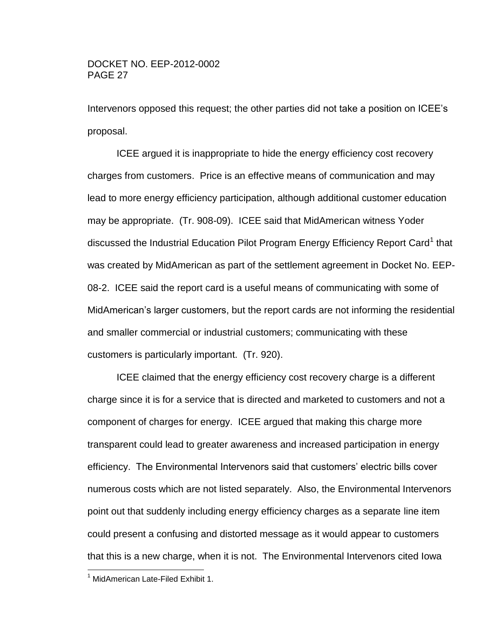Intervenors opposed this request; the other parties did not take a position on ICEE's proposal.

ICEE argued it is inappropriate to hide the energy efficiency cost recovery charges from customers. Price is an effective means of communication and may lead to more energy efficiency participation, although additional customer education may be appropriate. (Tr. 908-09). ICEE said that MidAmerican witness Yoder discussed the Industrial Education Pilot Program Energy Efficiency Report Card<sup>1</sup> that was created by MidAmerican as part of the settlement agreement in Docket No. EEP-08-2. ICEE said the report card is a useful means of communicating with some of MidAmerican's larger customers, but the report cards are not informing the residential and smaller commercial or industrial customers; communicating with these customers is particularly important. (Tr. 920).

ICEE claimed that the energy efficiency cost recovery charge is a different charge since it is for a service that is directed and marketed to customers and not a component of charges for energy. ICEE argued that making this charge more transparent could lead to greater awareness and increased participation in energy efficiency. The Environmental Intervenors said that customers' electric bills cover numerous costs which are not listed separately. Also, the Environmental Intervenors point out that suddenly including energy efficiency charges as a separate line item could present a confusing and distorted message as it would appear to customers that this is a new charge, when it is not. The Environmental Intervenors cited Iowa

 $\overline{a}$ 

 $1$  MidAmerican Late-Filed Exhibit 1.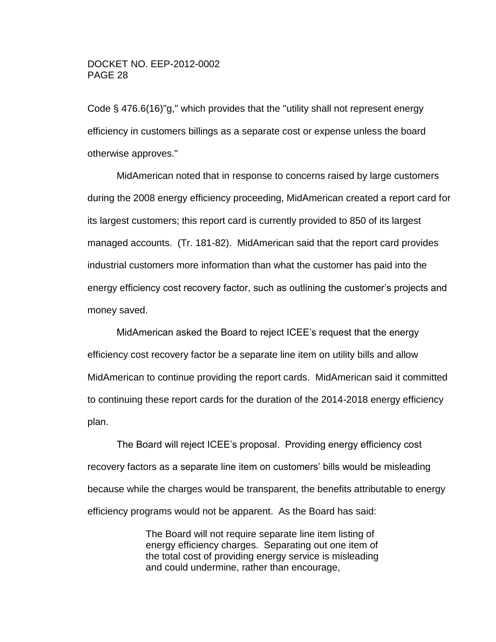Code § 476.6(16)"g," which provides that the "utility shall not represent energy efficiency in customers billings as a separate cost or expense unless the board otherwise approves."

MidAmerican noted that in response to concerns raised by large customers during the 2008 energy efficiency proceeding, MidAmerican created a report card for its largest customers; this report card is currently provided to 850 of its largest managed accounts. (Tr. 181-82). MidAmerican said that the report card provides industrial customers more information than what the customer has paid into the energy efficiency cost recovery factor, such as outlining the customer's projects and money saved.

MidAmerican asked the Board to reject ICEE's request that the energy efficiency cost recovery factor be a separate line item on utility bills and allow MidAmerican to continue providing the report cards. MidAmerican said it committed to continuing these report cards for the duration of the 2014-2018 energy efficiency plan.

The Board will reject ICEE's proposal. Providing energy efficiency cost recovery factors as a separate line item on customers' bills would be misleading because while the charges would be transparent, the benefits attributable to energy efficiency programs would not be apparent. As the Board has said:

> The Board will not require separate line item listing of energy efficiency charges. Separating out one item of the total cost of providing energy service is misleading and could undermine, rather than encourage,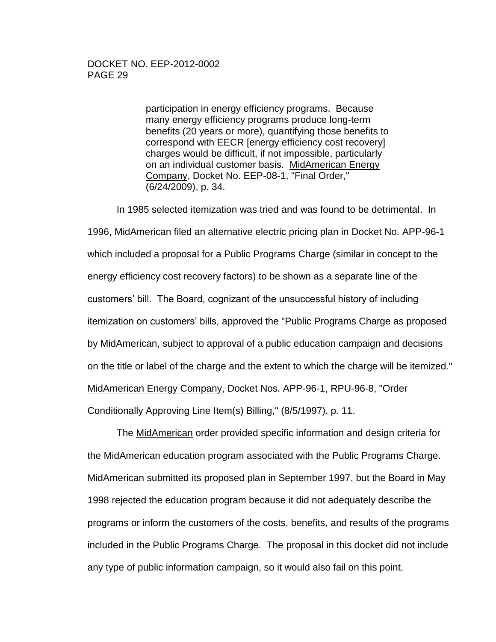participation in energy efficiency programs. Because many energy efficiency programs produce long-term benefits (20 years or more), quantifying those benefits to correspond with EECR [energy efficiency cost recovery] charges would be difficult, if not impossible, particularly on an individual customer basis. MidAmerican Energy Company, Docket No. EEP-08-1, "Final Order," (6/24/2009), p. 34.

In 1985 selected itemization was tried and was found to be detrimental. In 1996, MidAmerican filed an alternative electric pricing plan in Docket No. APP-96-1 which included a proposal for a Public Programs Charge (similar in concept to the energy efficiency cost recovery factors) to be shown as a separate line of the customers' bill. The Board, cognizant of the unsuccessful history of including itemization on customers' bills, approved the "Public Programs Charge as proposed by MidAmerican, subject to approval of a public education campaign and decisions on the title or label of the charge and the extent to which the charge will be itemized." MidAmerican Energy Company, Docket Nos. APP-96-1, RPU-96-8, "Order Conditionally Approving Line Item(s) Billing," (8/5/1997), p. 11.

The MidAmerican order provided specific information and design criteria for the MidAmerican education program associated with the Public Programs Charge. MidAmerican submitted its proposed plan in September 1997, but the Board in May 1998 rejected the education program because it did not adequately describe the programs or inform the customers of the costs, benefits, and results of the programs included in the Public Programs Charge. The proposal in this docket did not include any type of public information campaign, so it would also fail on this point.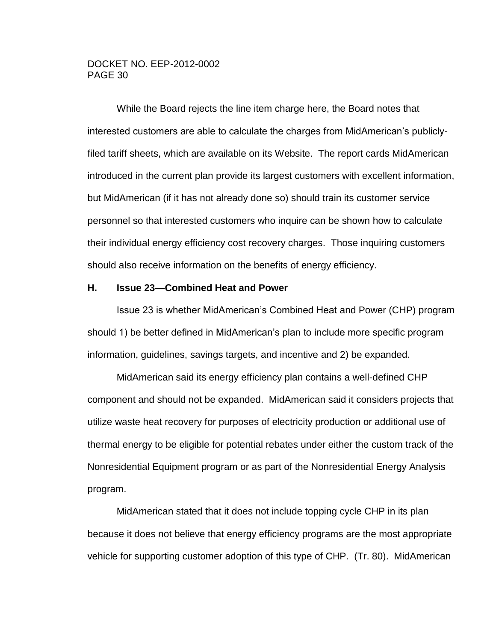While the Board rejects the line item charge here, the Board notes that interested customers are able to calculate the charges from MidAmerican's publiclyfiled tariff sheets, which are available on its Website. The report cards MidAmerican introduced in the current plan provide its largest customers with excellent information, but MidAmerican (if it has not already done so) should train its customer service personnel so that interested customers who inquire can be shown how to calculate their individual energy efficiency cost recovery charges. Those inquiring customers should also receive information on the benefits of energy efficiency.

#### <span id="page-29-0"></span>**H. Issue 23—Combined Heat and Power**

Issue 23 is whether MidAmerican's Combined Heat and Power (CHP) program should 1) be better defined in MidAmerican's plan to include more specific program information, guidelines, savings targets, and incentive and 2) be expanded.

MidAmerican said its energy efficiency plan contains a well-defined CHP component and should not be expanded. MidAmerican said it considers projects that utilize waste heat recovery for purposes of electricity production or additional use of thermal energy to be eligible for potential rebates under either the custom track of the Nonresidential Equipment program or as part of the Nonresidential Energy Analysis program.

MidAmerican stated that it does not include topping cycle CHP in its plan because it does not believe that energy efficiency programs are the most appropriate vehicle for supporting customer adoption of this type of CHP. (Tr. 80). MidAmerican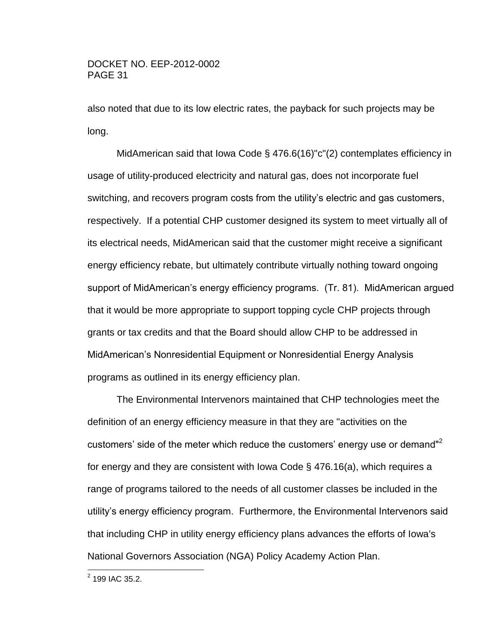also noted that due to its low electric rates, the payback for such projects may be long.

MidAmerican said that Iowa Code § 476.6(16)"c"(2) contemplates efficiency in usage of utility-produced electricity and natural gas, does not incorporate fuel switching, and recovers program costs from the utility's electric and gas customers, respectively. If a potential CHP customer designed its system to meet virtually all of its electrical needs, MidAmerican said that the customer might receive a significant energy efficiency rebate, but ultimately contribute virtually nothing toward ongoing support of MidAmerican's energy efficiency programs. (Tr. 81). MidAmerican argued that it would be more appropriate to support topping cycle CHP projects through grants or tax credits and that the Board should allow CHP to be addressed in MidAmerican's Nonresidential Equipment or Nonresidential Energy Analysis programs as outlined in its energy efficiency plan.

The Environmental Intervenors maintained that CHP technologies meet the definition of an energy efficiency measure in that they are "activities on the customers' side of the meter which reduce the customers' energy use or demand<sup>"2</sup> for energy and they are consistent with Iowa Code § 476.16(a), which requires a range of programs tailored to the needs of all customer classes be included in the utility's energy efficiency program. Furthermore, the Environmental Intervenors said that including CHP in utility energy efficiency plans advances the efforts of Iowa's National Governors Association (NGA) Policy Academy Action Plan.

<sup>&</sup>lt;u>2</u><br>2 199 IAC 35.2.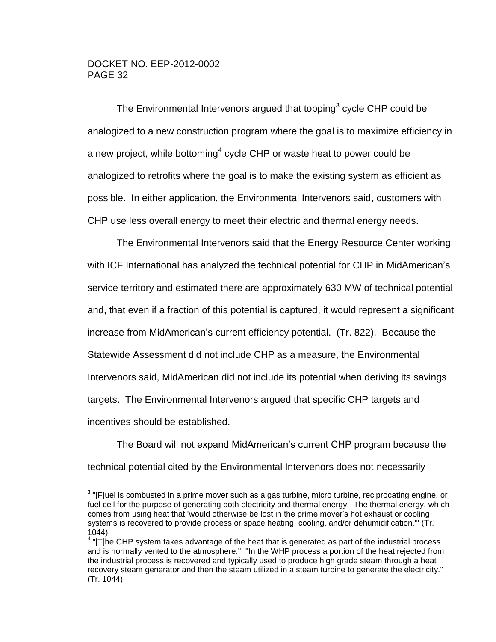$\overline{a}$ 

The Environmental Intervenors argued that topping<sup>3</sup> cycle CHP could be analogized to a new construction program where the goal is to maximize efficiency in a new project, while bottoming<sup>4</sup> cycle CHP or waste heat to power could be analogized to retrofits where the goal is to make the existing system as efficient as possible. In either application, the Environmental Intervenors said, customers with CHP use less overall energy to meet their electric and thermal energy needs.

The Environmental Intervenors said that the Energy Resource Center working with ICF International has analyzed the technical potential for CHP in MidAmerican's service territory and estimated there are approximately 630 MW of technical potential and, that even if a fraction of this potential is captured, it would represent a significant increase from MidAmerican's current efficiency potential. (Tr. 822). Because the Statewide Assessment did not include CHP as a measure, the Environmental Intervenors said, MidAmerican did not include its potential when deriving its savings targets. The Environmental Intervenors argued that specific CHP targets and incentives should be established.

The Board will not expand MidAmerican's current CHP program because the technical potential cited by the Environmental Intervenors does not necessarily

 $3$  "[F]uel is combusted in a prime mover such as a gas turbine, micro turbine, reciprocating engine, or fuel cell for the purpose of generating both electricity and thermal energy. The thermal energy, which comes from using heat that 'would otherwise be lost in the prime mover's hot exhaust or cooling systems is recovered to provide process or space heating, cooling, and/or dehumidification.'" (Tr. 1044).

 $4$  "[T]he CHP system takes advantage of the heat that is generated as part of the industrial process and is normally vented to the atmosphere." "In the WHP process a portion of the heat rejected from the industrial process is recovered and typically used to produce high grade steam through a heat recovery steam generator and then the steam utilized in a steam turbine to generate the electricity." (Tr. 1044).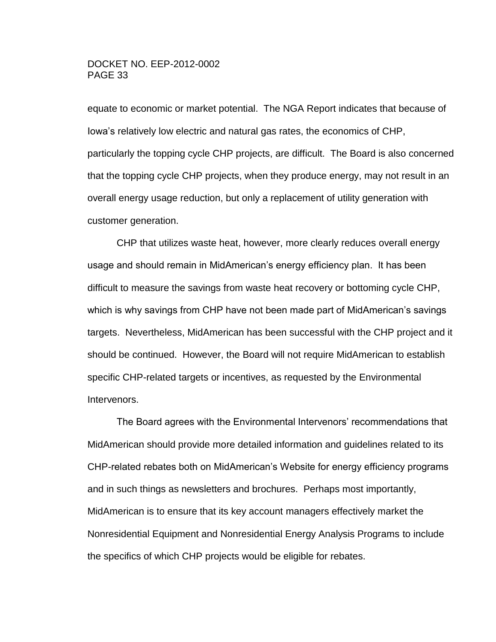equate to economic or market potential. The NGA Report indicates that because of Iowa's relatively low electric and natural gas rates, the economics of CHP, particularly the topping cycle CHP projects, are difficult. The Board is also concerned that the topping cycle CHP projects, when they produce energy, may not result in an overall energy usage reduction, but only a replacement of utility generation with customer generation.

CHP that utilizes waste heat, however, more clearly reduces overall energy usage and should remain in MidAmerican's energy efficiency plan. It has been difficult to measure the savings from waste heat recovery or bottoming cycle CHP, which is why savings from CHP have not been made part of MidAmerican's savings targets. Nevertheless, MidAmerican has been successful with the CHP project and it should be continued. However, the Board will not require MidAmerican to establish specific CHP-related targets or incentives, as requested by the Environmental Intervenors.

The Board agrees with the Environmental Intervenors' recommendations that MidAmerican should provide more detailed information and guidelines related to its CHP-related rebates both on MidAmerican's Website for energy efficiency programs and in such things as newsletters and brochures. Perhaps most importantly, MidAmerican is to ensure that its key account managers effectively market the Nonresidential Equipment and Nonresidential Energy Analysis Programs to include the specifics of which CHP projects would be eligible for rebates.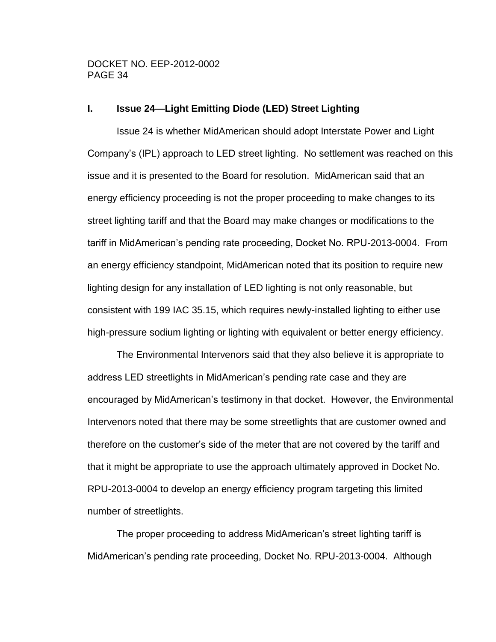#### <span id="page-33-0"></span>**I. Issue 24—Light Emitting Diode (LED) Street Lighting**

Issue 24 is whether MidAmerican should adopt Interstate Power and Light Company's (IPL) approach to LED street lighting. No settlement was reached on this issue and it is presented to the Board for resolution. MidAmerican said that an energy efficiency proceeding is not the proper proceeding to make changes to its street lighting tariff and that the Board may make changes or modifications to the tariff in MidAmerican's pending rate proceeding, Docket No. RPU-2013-0004. From an energy efficiency standpoint, MidAmerican noted that its position to require new lighting design for any installation of LED lighting is not only reasonable, but consistent with 199 IAC 35.15, which requires newly-installed lighting to either use high-pressure sodium lighting or lighting with equivalent or better energy efficiency.

The Environmental Intervenors said that they also believe it is appropriate to address LED streetlights in MidAmerican's pending rate case and they are encouraged by MidAmerican's testimony in that docket. However, the Environmental Intervenors noted that there may be some streetlights that are customer owned and therefore on the customer's side of the meter that are not covered by the tariff and that it might be appropriate to use the approach ultimately approved in Docket No. RPU-2013-0004 to develop an energy efficiency program targeting this limited number of streetlights.

The proper proceeding to address MidAmerican's street lighting tariff is MidAmerican's pending rate proceeding, Docket No. RPU-2013-0004. Although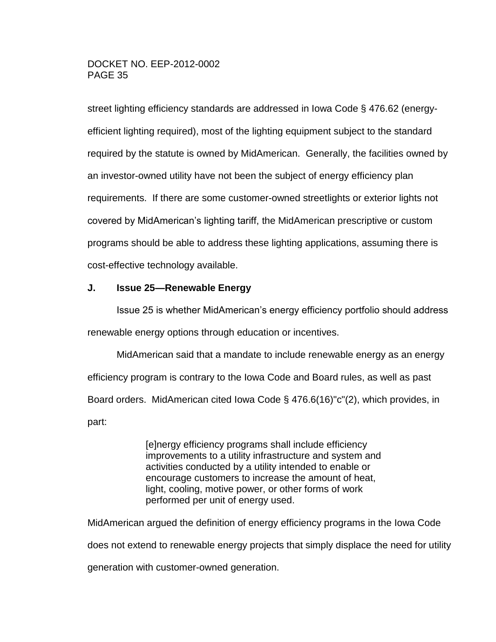street lighting efficiency standards are addressed in Iowa Code § 476.62 (energyefficient lighting required), most of the lighting equipment subject to the standard required by the statute is owned by MidAmerican. Generally, the facilities owned by an investor-owned utility have not been the subject of energy efficiency plan requirements. If there are some customer-owned streetlights or exterior lights not covered by MidAmerican's lighting tariff, the MidAmerican prescriptive or custom programs should be able to address these lighting applications, assuming there is cost-effective technology available.

## <span id="page-34-0"></span>**J. Issue 25—Renewable Energy**

Issue 25 is whether MidAmerican's energy efficiency portfolio should address renewable energy options through education or incentives.

MidAmerican said that a mandate to include renewable energy as an energy efficiency program is contrary to the Iowa Code and Board rules, as well as past Board orders. MidAmerican cited Iowa Code § 476.6(16)"c"(2), which provides, in part:

> [e]nergy efficiency programs shall include efficiency improvements to a utility infrastructure and system and activities conducted by a utility intended to enable or encourage customers to increase the amount of heat, light, cooling, motive power, or other forms of work performed per unit of energy used.

MidAmerican argued the definition of energy efficiency programs in the Iowa Code does not extend to renewable energy projects that simply displace the need for utility generation with customer-owned generation.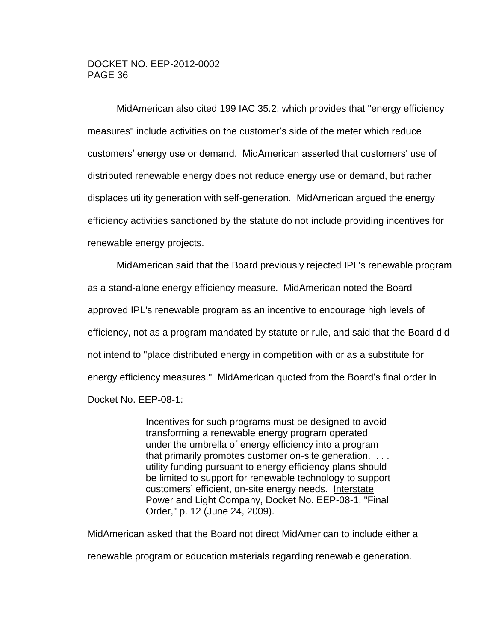MidAmerican also cited 199 IAC 35.2, which provides that "energy efficiency measures" include activities on the customer's side of the meter which reduce customers' energy use or demand. MidAmerican asserted that customers' use of distributed renewable energy does not reduce energy use or demand, but rather displaces utility generation with self-generation. MidAmerican argued the energy efficiency activities sanctioned by the statute do not include providing incentives for renewable energy projects.

MidAmerican said that the Board previously rejected IPL's renewable program as a stand-alone energy efficiency measure. MidAmerican noted the Board approved IPL's renewable program as an incentive to encourage high levels of efficiency, not as a program mandated by statute or rule, and said that the Board did not intend to "place distributed energy in competition with or as a substitute for energy efficiency measures." MidAmerican quoted from the Board's final order in Docket No. EEP-08-1:

> Incentives for such programs must be designed to avoid transforming a renewable energy program operated under the umbrella of energy efficiency into a program that primarily promotes customer on-site generation. . . . utility funding pursuant to energy efficiency plans should be limited to support for renewable technology to support customers' efficient, on-site energy needs. Interstate Power and Light Company, Docket No. EEP-08-1, "Final Order," p. 12 (June 24, 2009).

MidAmerican asked that the Board not direct MidAmerican to include either a renewable program or education materials regarding renewable generation.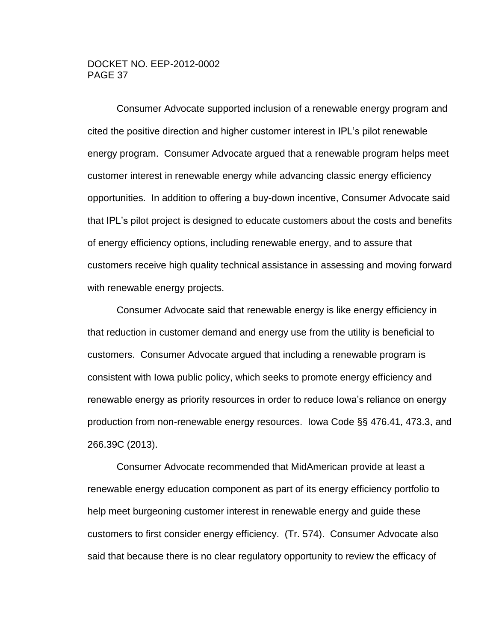Consumer Advocate supported inclusion of a renewable energy program and cited the positive direction and higher customer interest in IPL's pilot renewable energy program. Consumer Advocate argued that a renewable program helps meet customer interest in renewable energy while advancing classic energy efficiency opportunities. In addition to offering a buy-down incentive, Consumer Advocate said that IPL's pilot project is designed to educate customers about the costs and benefits of energy efficiency options, including renewable energy, and to assure that customers receive high quality technical assistance in assessing and moving forward with renewable energy projects.

Consumer Advocate said that renewable energy is like energy efficiency in that reduction in customer demand and energy use from the utility is beneficial to customers. Consumer Advocate argued that including a renewable program is consistent with Iowa public policy, which seeks to promote energy efficiency and renewable energy as priority resources in order to reduce Iowa's reliance on energy production from non-renewable energy resources. Iowa Code §§ 476.41, 473.3, and 266.39C (2013).

Consumer Advocate recommended that MidAmerican provide at least a renewable energy education component as part of its energy efficiency portfolio to help meet burgeoning customer interest in renewable energy and guide these customers to first consider energy efficiency. (Tr. 574). Consumer Advocate also said that because there is no clear regulatory opportunity to review the efficacy of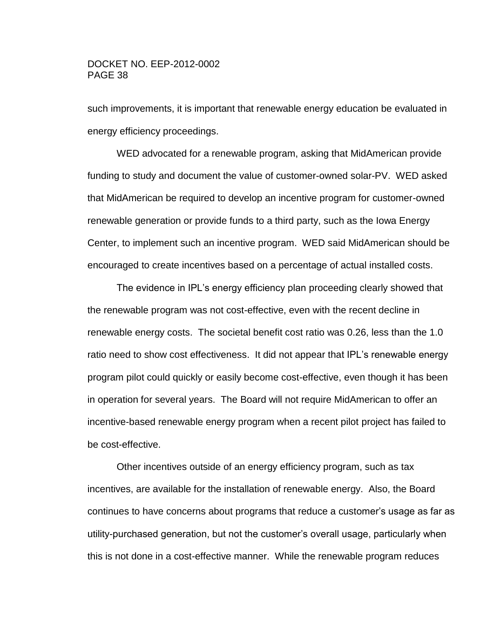such improvements, it is important that renewable energy education be evaluated in energy efficiency proceedings.

WED advocated for a renewable program, asking that MidAmerican provide funding to study and document the value of customer-owned solar-PV. WED asked that MidAmerican be required to develop an incentive program for customer-owned renewable generation or provide funds to a third party, such as the Iowa Energy Center, to implement such an incentive program. WED said MidAmerican should be encouraged to create incentives based on a percentage of actual installed costs.

The evidence in IPL's energy efficiency plan proceeding clearly showed that the renewable program was not cost-effective, even with the recent decline in renewable energy costs. The societal benefit cost ratio was 0.26, less than the 1.0 ratio need to show cost effectiveness. It did not appear that IPL's renewable energy program pilot could quickly or easily become cost-effective, even though it has been in operation for several years. The Board will not require MidAmerican to offer an incentive-based renewable energy program when a recent pilot project has failed to be cost-effective.

Other incentives outside of an energy efficiency program, such as tax incentives, are available for the installation of renewable energy. Also, the Board continues to have concerns about programs that reduce a customer's usage as far as utility-purchased generation, but not the customer's overall usage, particularly when this is not done in a cost-effective manner. While the renewable program reduces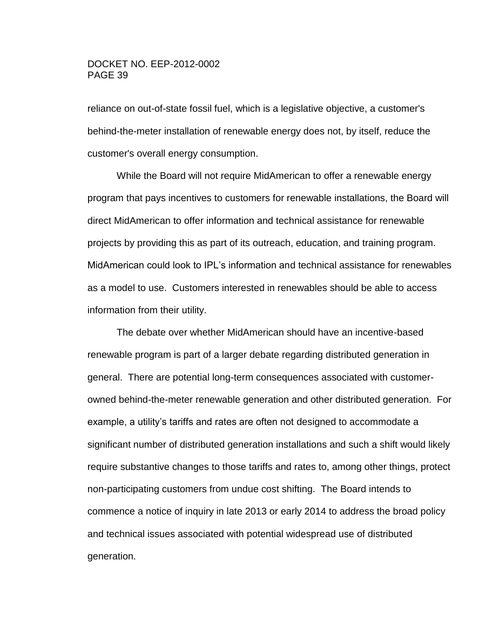reliance on out-of-state fossil fuel, which is a legislative objective, a customer's behind-the-meter installation of renewable energy does not, by itself, reduce the customer's overall energy consumption.

While the Board will not require MidAmerican to offer a renewable energy program that pays incentives to customers for renewable installations, the Board will direct MidAmerican to offer information and technical assistance for renewable projects by providing this as part of its outreach, education, and training program. MidAmerican could look to IPL's information and technical assistance for renewables as a model to use. Customers interested in renewables should be able to access information from their utility.

The debate over whether MidAmerican should have an incentive-based renewable program is part of a larger debate regarding distributed generation in general. There are potential long-term consequences associated with customerowned behind-the-meter renewable generation and other distributed generation. For example, a utility's tariffs and rates are often not designed to accommodate a significant number of distributed generation installations and such a shift would likely require substantive changes to those tariffs and rates to, among other things, protect non-participating customers from undue cost shifting. The Board intends to commence a notice of inquiry in late 2013 or early 2014 to address the broad policy and technical issues associated with potential widespread use of distributed generation.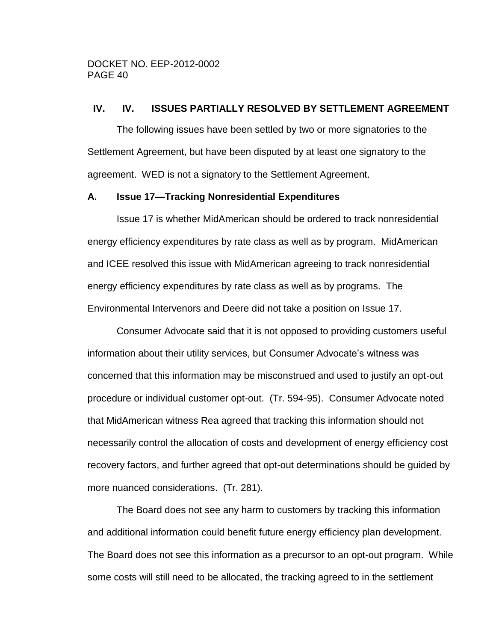#### <span id="page-39-0"></span>**IV. IV. ISSUES PARTIALLY RESOLVED BY SETTLEMENT AGREEMENT**

The following issues have been settled by two or more signatories to the Settlement Agreement, but have been disputed by at least one signatory to the agreement. WED is not a signatory to the Settlement Agreement.

#### <span id="page-39-1"></span>**A. Issue 17—Tracking Nonresidential Expenditures**

Issue 17 is whether MidAmerican should be ordered to track nonresidential energy efficiency expenditures by rate class as well as by program. MidAmerican and ICEE resolved this issue with MidAmerican agreeing to track nonresidential energy efficiency expenditures by rate class as well as by programs. The Environmental Intervenors and Deere did not take a position on Issue 17.

Consumer Advocate said that it is not opposed to providing customers useful information about their utility services, but Consumer Advocate's witness was concerned that this information may be misconstrued and used to justify an opt-out procedure or individual customer opt-out. (Tr. 594-95). Consumer Advocate noted that MidAmerican witness Rea agreed that tracking this information should not necessarily control the allocation of costs and development of energy efficiency cost recovery factors, and further agreed that opt-out determinations should be guided by more nuanced considerations. (Tr. 281).

The Board does not see any harm to customers by tracking this information and additional information could benefit future energy efficiency plan development. The Board does not see this information as a precursor to an opt-out program. While some costs will still need to be allocated, the tracking agreed to in the settlement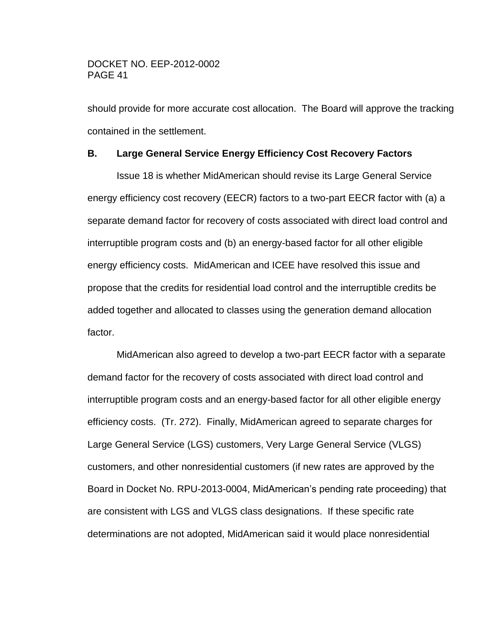should provide for more accurate cost allocation. The Board will approve the tracking contained in the settlement.

## <span id="page-40-0"></span>**B. Large General Service Energy Efficiency Cost Recovery Factors**

Issue 18 is whether MidAmerican should revise its Large General Service energy efficiency cost recovery (EECR) factors to a two-part EECR factor with (a) a separate demand factor for recovery of costs associated with direct load control and interruptible program costs and (b) an energy-based factor for all other eligible energy efficiency costs. MidAmerican and ICEE have resolved this issue and propose that the credits for residential load control and the interruptible credits be added together and allocated to classes using the generation demand allocation factor.

MidAmerican also agreed to develop a two-part EECR factor with a separate demand factor for the recovery of costs associated with direct load control and interruptible program costs and an energy-based factor for all other eligible energy efficiency costs. (Tr. 272). Finally, MidAmerican agreed to separate charges for Large General Service (LGS) customers, Very Large General Service (VLGS) customers, and other nonresidential customers (if new rates are approved by the Board in Docket No. RPU-2013-0004, MidAmerican's pending rate proceeding) that are consistent with LGS and VLGS class designations. If these specific rate determinations are not adopted, MidAmerican said it would place nonresidential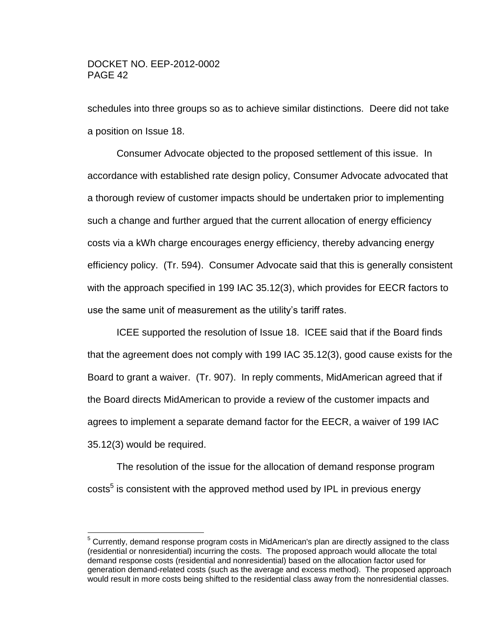$\overline{a}$ 

schedules into three groups so as to achieve similar distinctions. Deere did not take a position on Issue 18.

Consumer Advocate objected to the proposed settlement of this issue. In accordance with established rate design policy, Consumer Advocate advocated that a thorough review of customer impacts should be undertaken prior to implementing such a change and further argued that the current allocation of energy efficiency costs via a kWh charge encourages energy efficiency, thereby advancing energy efficiency policy. (Tr. 594). Consumer Advocate said that this is generally consistent with the approach specified in 199 IAC 35.12(3), which provides for EECR factors to use the same unit of measurement as the utility's tariff rates.

ICEE supported the resolution of Issue 18. ICEE said that if the Board finds that the agreement does not comply with 199 IAC 35.12(3), good cause exists for the Board to grant a waiver. (Tr. 907). In reply comments, MidAmerican agreed that if the Board directs MidAmerican to provide a review of the customer impacts and agrees to implement a separate demand factor for the EECR, a waiver of 199 IAC 35.12(3) would be required.

The resolution of the issue for the allocation of demand response program costs<sup>5</sup> is consistent with the approved method used by IPL in previous energy

<sup>&</sup>lt;sup>5</sup> Currently, demand response program costs in MidAmerican's plan are directly assigned to the class (residential or nonresidential) incurring the costs. The proposed approach would allocate the total demand response costs (residential and nonresidential) based on the allocation factor used for generation demand-related costs (such as the average and excess method). The proposed approach would result in more costs being shifted to the residential class away from the nonresidential classes.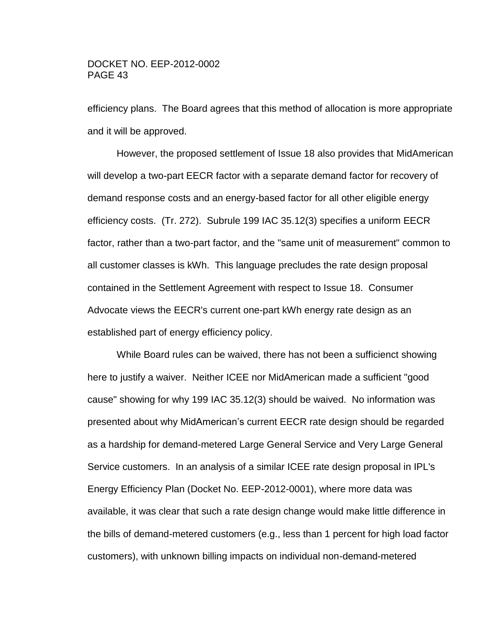efficiency plans. The Board agrees that this method of allocation is more appropriate and it will be approved.

However, the proposed settlement of Issue 18 also provides that MidAmerican will develop a two-part EECR factor with a separate demand factor for recovery of demand response costs and an energy-based factor for all other eligible energy efficiency costs. (Tr. 272). Subrule 199 IAC 35.12(3) specifies a uniform EECR factor, rather than a two-part factor, and the "same unit of measurement" common to all customer classes is kWh. This language precludes the rate design proposal contained in the Settlement Agreement with respect to Issue 18. Consumer Advocate views the EECR's current one-part kWh energy rate design as an established part of energy efficiency policy.

While Board rules can be waived, there has not been a sufficienct showing here to justify a waiver. Neither ICEE nor MidAmerican made a sufficient "good cause" showing for why 199 IAC 35.12(3) should be waived. No information was presented about why MidAmerican's current EECR rate design should be regarded as a hardship for demand-metered Large General Service and Very Large General Service customers. In an analysis of a similar ICEE rate design proposal in IPL's Energy Efficiency Plan (Docket No. EEP-2012-0001), where more data was available, it was clear that such a rate design change would make little difference in the bills of demand-metered customers (e.g., less than 1 percent for high load factor customers), with unknown billing impacts on individual non-demand-metered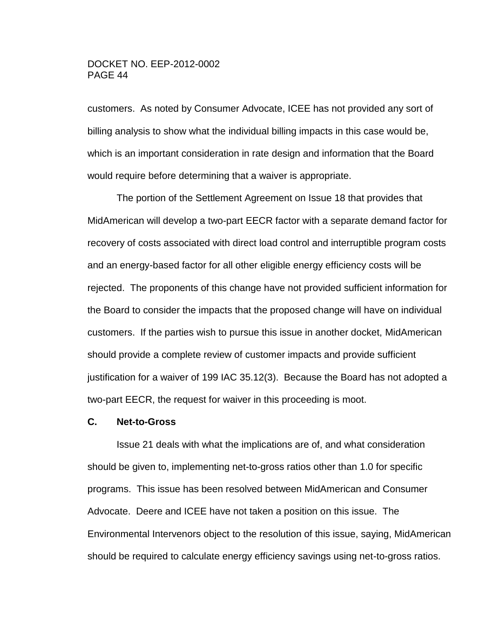customers. As noted by Consumer Advocate, ICEE has not provided any sort of billing analysis to show what the individual billing impacts in this case would be, which is an important consideration in rate design and information that the Board would require before determining that a waiver is appropriate.

The portion of the Settlement Agreement on Issue 18 that provides that MidAmerican will develop a two-part EECR factor with a separate demand factor for recovery of costs associated with direct load control and interruptible program costs and an energy-based factor for all other eligible energy efficiency costs will be rejected. The proponents of this change have not provided sufficient information for the Board to consider the impacts that the proposed change will have on individual customers. If the parties wish to pursue this issue in another docket, MidAmerican should provide a complete review of customer impacts and provide sufficient justification for a waiver of 199 IAC 35.12(3). Because the Board has not adopted a two-part EECR, the request for waiver in this proceeding is moot.

#### <span id="page-43-0"></span>**C. Net-to-Gross**

Issue 21 deals with what the implications are of, and what consideration should be given to, implementing net-to-gross ratios other than 1.0 for specific programs. This issue has been resolved between MidAmerican and Consumer Advocate. Deere and ICEE have not taken a position on this issue. The Environmental Intervenors object to the resolution of this issue, saying, MidAmerican should be required to calculate energy efficiency savings using net-to-gross ratios.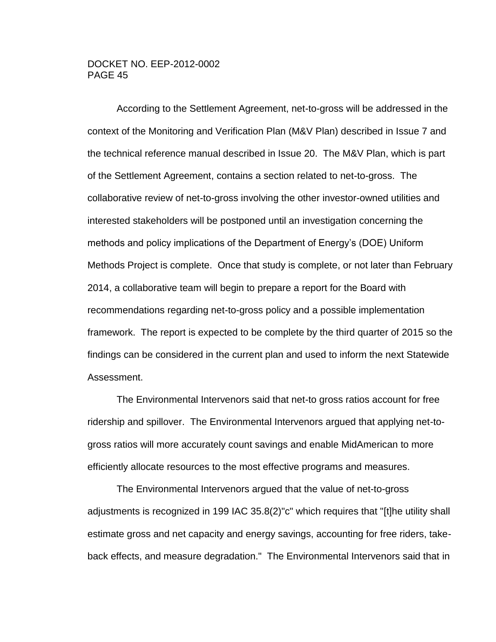According to the Settlement Agreement, net-to-gross will be addressed in the context of the Monitoring and Verification Plan (M&V Plan) described in Issue 7 and the technical reference manual described in Issue 20. The M&V Plan, which is part of the Settlement Agreement, contains a section related to net-to-gross. The collaborative review of net-to-gross involving the other investor-owned utilities and interested stakeholders will be postponed until an investigation concerning the methods and policy implications of the Department of Energy's (DOE) Uniform Methods Project is complete. Once that study is complete, or not later than February 2014, a collaborative team will begin to prepare a report for the Board with recommendations regarding net-to-gross policy and a possible implementation framework. The report is expected to be complete by the third quarter of 2015 so the findings can be considered in the current plan and used to inform the next Statewide Assessment.

The Environmental Intervenors said that net-to gross ratios account for free ridership and spillover. The Environmental Intervenors argued that applying net-togross ratios will more accurately count savings and enable MidAmerican to more efficiently allocate resources to the most effective programs and measures.

The Environmental Intervenors argued that the value of net-to-gross adjustments is recognized in 199 IAC 35.8(2)"c" which requires that "[t]he utility shall estimate gross and net capacity and energy savings, accounting for free riders, takeback effects, and measure degradation." The Environmental Intervenors said that in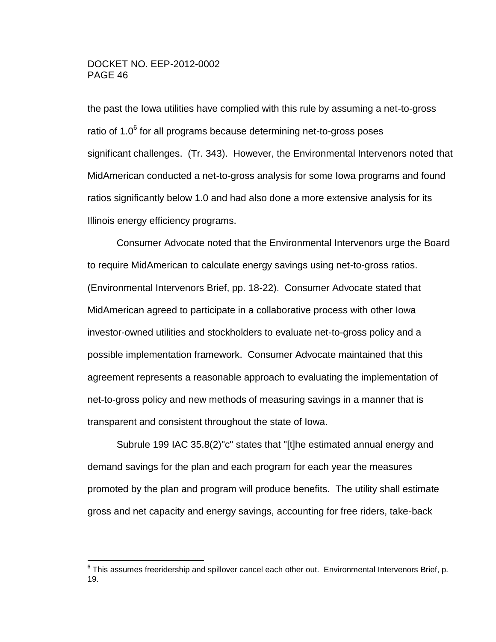the past the Iowa utilities have complied with this rule by assuming a net-to-gross ratio of 1.0 $6$  for all programs because determining net-to-gross poses significant challenges. (Tr. 343). However, the Environmental Intervenors noted that MidAmerican conducted a net-to-gross analysis for some Iowa programs and found ratios significantly below 1.0 and had also done a more extensive analysis for its Illinois energy efficiency programs.

Consumer Advocate noted that the Environmental Intervenors urge the Board to require MidAmerican to calculate energy savings using net-to-gross ratios. (Environmental Intervenors Brief, pp. 18-22). Consumer Advocate stated that MidAmerican agreed to participate in a collaborative process with other Iowa investor-owned utilities and stockholders to evaluate net-to-gross policy and a possible implementation framework. Consumer Advocate maintained that this agreement represents a reasonable approach to evaluating the implementation of net-to-gross policy and new methods of measuring savings in a manner that is transparent and consistent throughout the state of Iowa.

Subrule 199 IAC 35.8(2)"c" states that "[t]he estimated annual energy and demand savings for the plan and each program for each year the measures promoted by the plan and program will produce benefits. The utility shall estimate gross and net capacity and energy savings, accounting for free riders, take-back

 6 This assumes freeridership and spillover cancel each other out. Environmental Intervenors Brief, p. 19.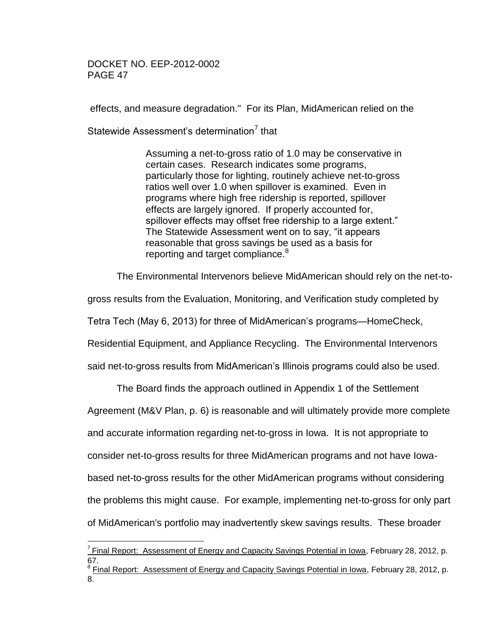effects, and measure degradation." For its Plan, MidAmerican relied on the

Statewide Assessment's determination<sup>7</sup> that

Assuming a net-to-gross ratio of 1.0 may be conservative in certain cases. Research indicates some programs, particularly those for lighting, routinely achieve net-to-gross ratios well over 1.0 when spillover is examined. Even in programs where high free ridership is reported, spillover effects are largely ignored. If properly accounted for, spillover effects may offset free ridership to a large extent." The Statewide Assessment went on to say, "it appears reasonable that gross savings be used as a basis for reporting and target compliance.<sup>8</sup>

The Environmental Intervenors believe MidAmerican should rely on the net-to-

gross results from the Evaluation, Monitoring, and Verification study completed by

Tetra Tech (May 6, 2013) for three of MidAmerican's programs—HomeCheck,

Residential Equipment, and Appliance Recycling. The Environmental Intervenors

said net-to-gross results from MidAmerican's Illinois programs could also be used.

The Board finds the approach outlined in Appendix 1 of the Settlement

Agreement (M&V Plan, p. 6) is reasonable and will ultimately provide more complete

and accurate information regarding net-to-gross in Iowa. It is not appropriate to

consider net-to-gross results for three MidAmerican programs and not have Iowa-

based net-to-gross results for the other MidAmerican programs without considering

the problems this might cause. For example, implementing net-to-gross for only part

of MidAmerican's portfolio may inadvertently skew savings results. These broader

 $\overline{a}$ <sup>7</sup> Final Report: Assessment of Energy and Capacity Savings Potential in Iowa, February 28, 2012, p. 67.

<sup>&</sup>lt;sup>8</sup> Final Report: Assessment of Energy and Capacity Savings Potential in Iowa, February 28, 2012, p. 8.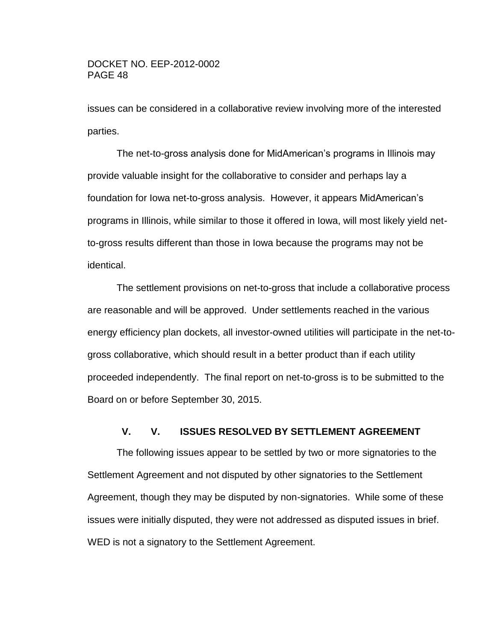issues can be considered in a collaborative review involving more of the interested parties.

The net-to-gross analysis done for MidAmerican's programs in Illinois may provide valuable insight for the collaborative to consider and perhaps lay a foundation for Iowa net-to-gross analysis. However, it appears MidAmerican's programs in Illinois, while similar to those it offered in Iowa, will most likely yield netto-gross results different than those in Iowa because the programs may not be identical.

The settlement provisions on net-to-gross that include a collaborative process are reasonable and will be approved. Under settlements reached in the various energy efficiency plan dockets, all investor-owned utilities will participate in the net-togross collaborative, which should result in a better product than if each utility proceeded independently. The final report on net-to-gross is to be submitted to the Board on or before September 30, 2015.

## **V. V. ISSUES RESOLVED BY SETTLEMENT AGREEMENT**

<span id="page-47-0"></span>The following issues appear to be settled by two or more signatories to the Settlement Agreement and not disputed by other signatories to the Settlement Agreement, though they may be disputed by non-signatories. While some of these issues were initially disputed, they were not addressed as disputed issues in brief. WED is not a signatory to the Settlement Agreement.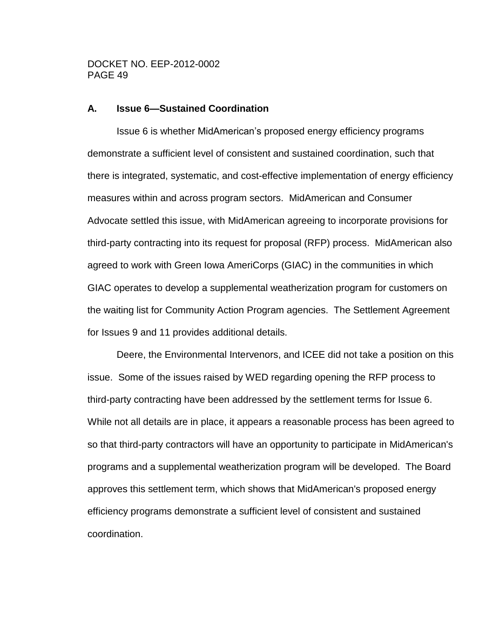#### <span id="page-48-0"></span>**A. Issue 6—Sustained Coordination**

Issue 6 is whether MidAmerican's proposed energy efficiency programs demonstrate a sufficient level of consistent and sustained coordination, such that there is integrated, systematic, and cost-effective implementation of energy efficiency measures within and across program sectors. MidAmerican and Consumer Advocate settled this issue, with MidAmerican agreeing to incorporate provisions for third-party contracting into its request for proposal (RFP) process. MidAmerican also agreed to work with Green Iowa AmeriCorps (GIAC) in the communities in which GIAC operates to develop a supplemental weatherization program for customers on the waiting list for Community Action Program agencies. The Settlement Agreement for Issues 9 and 11 provides additional details.

Deere, the Environmental Intervenors, and ICEE did not take a position on this issue. Some of the issues raised by WED regarding opening the RFP process to third-party contracting have been addressed by the settlement terms for Issue 6. While not all details are in place, it appears a reasonable process has been agreed to so that third-party contractors will have an opportunity to participate in MidAmerican's programs and a supplemental weatherization program will be developed. The Board approves this settlement term, which shows that MidAmerican's proposed energy efficiency programs demonstrate a sufficient level of consistent and sustained coordination.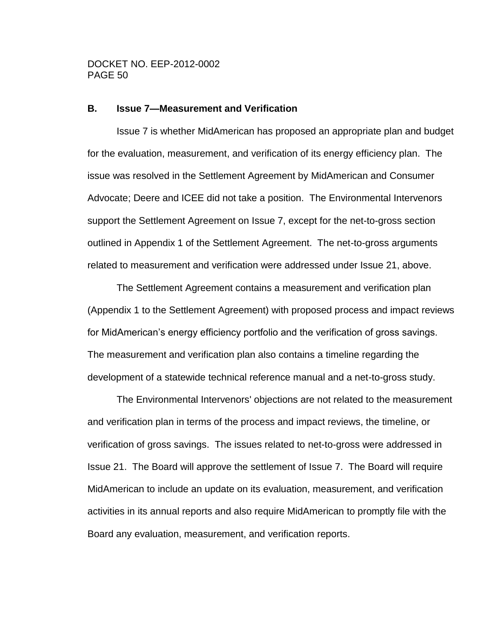#### <span id="page-49-0"></span>**B. Issue 7—Measurement and Verification**

Issue 7 is whether MidAmerican has proposed an appropriate plan and budget for the evaluation, measurement, and verification of its energy efficiency plan. The issue was resolved in the Settlement Agreement by MidAmerican and Consumer Advocate; Deere and ICEE did not take a position. The Environmental Intervenors support the Settlement Agreement on Issue 7, except for the net-to-gross section outlined in Appendix 1 of the Settlement Agreement. The net-to-gross arguments related to measurement and verification were addressed under Issue 21, above.

The Settlement Agreement contains a measurement and verification plan (Appendix 1 to the Settlement Agreement) with proposed process and impact reviews for MidAmerican's energy efficiency portfolio and the verification of gross savings. The measurement and verification plan also contains a timeline regarding the development of a statewide technical reference manual and a net-to-gross study.

The Environmental Intervenors' objections are not related to the measurement and verification plan in terms of the process and impact reviews, the timeline, or verification of gross savings. The issues related to net-to-gross were addressed in Issue 21. The Board will approve the settlement of Issue 7. The Board will require MidAmerican to include an update on its evaluation, measurement, and verification activities in its annual reports and also require MidAmerican to promptly file with the Board any evaluation, measurement, and verification reports.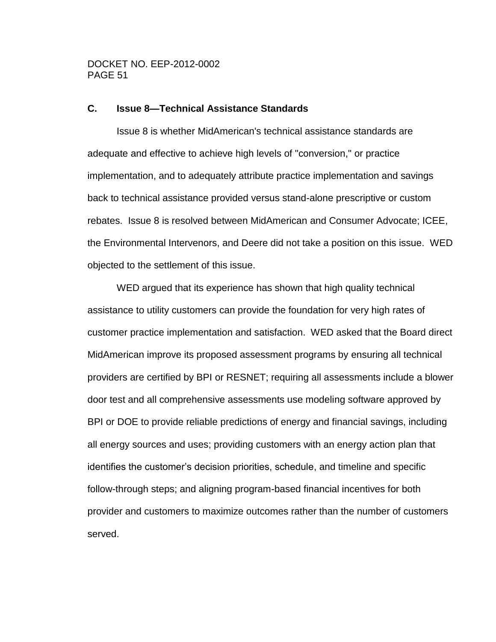#### <span id="page-50-0"></span>**C. Issue 8—Technical Assistance Standards**

Issue 8 is whether MidAmerican's technical assistance standards are adequate and effective to achieve high levels of "conversion," or practice implementation, and to adequately attribute practice implementation and savings back to technical assistance provided versus stand-alone prescriptive or custom rebates. Issue 8 is resolved between MidAmerican and Consumer Advocate; ICEE, the Environmental Intervenors, and Deere did not take a position on this issue. WED objected to the settlement of this issue.

WED argued that its experience has shown that high quality technical assistance to utility customers can provide the foundation for very high rates of customer practice implementation and satisfaction. WED asked that the Board direct MidAmerican improve its proposed assessment programs by ensuring all technical providers are certified by BPI or RESNET; requiring all assessments include a blower door test and all comprehensive assessments use modeling software approved by BPI or DOE to provide reliable predictions of energy and financial savings, including all energy sources and uses; providing customers with an energy action plan that identifies the customer's decision priorities, schedule, and timeline and specific follow-through steps; and aligning program-based financial incentives for both provider and customers to maximize outcomes rather than the number of customers served.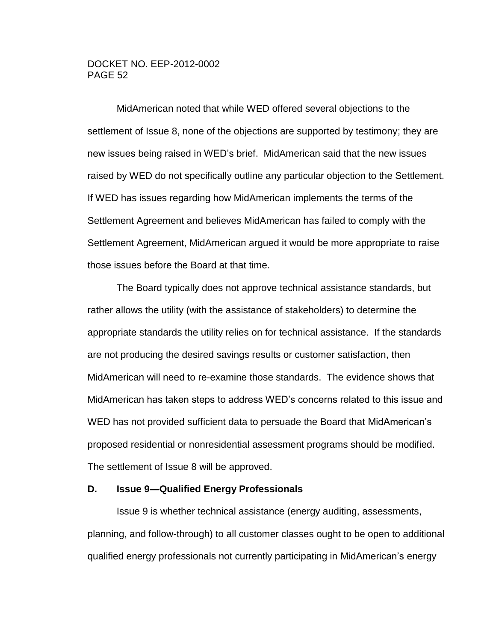MidAmerican noted that while WED offered several objections to the settlement of Issue 8, none of the objections are supported by testimony; they are new issues being raised in WED's brief. MidAmerican said that the new issues raised by WED do not specifically outline any particular objection to the Settlement. If WED has issues regarding how MidAmerican implements the terms of the Settlement Agreement and believes MidAmerican has failed to comply with the Settlement Agreement, MidAmerican argued it would be more appropriate to raise those issues before the Board at that time.

The Board typically does not approve technical assistance standards, but rather allows the utility (with the assistance of stakeholders) to determine the appropriate standards the utility relies on for technical assistance. If the standards are not producing the desired savings results or customer satisfaction, then MidAmerican will need to re-examine those standards. The evidence shows that MidAmerican has taken steps to address WED's concerns related to this issue and WED has not provided sufficient data to persuade the Board that MidAmerican's proposed residential or nonresidential assessment programs should be modified. The settlement of Issue 8 will be approved.

#### <span id="page-51-0"></span>**D. Issue 9—Qualified Energy Professionals**

Issue 9 is whether technical assistance (energy auditing, assessments, planning, and follow-through) to all customer classes ought to be open to additional qualified energy professionals not currently participating in MidAmerican's energy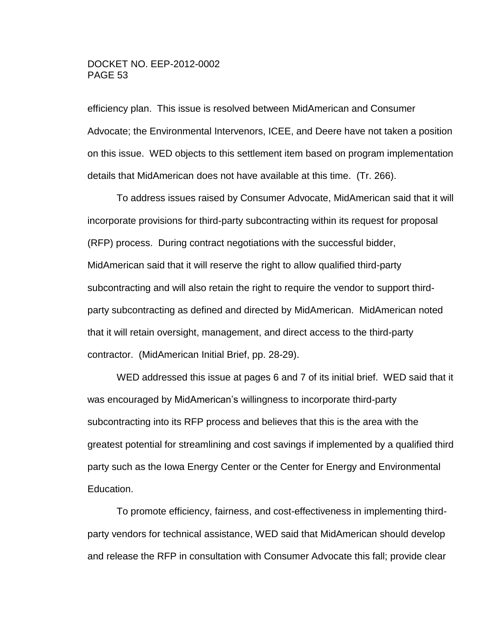efficiency plan. This issue is resolved between MidAmerican and Consumer Advocate; the Environmental Intervenors, ICEE, and Deere have not taken a position on this issue. WED objects to this settlement item based on program implementation details that MidAmerican does not have available at this time. (Tr. 266).

To address issues raised by Consumer Advocate, MidAmerican said that it will incorporate provisions for third-party subcontracting within its request for proposal (RFP) process. During contract negotiations with the successful bidder, MidAmerican said that it will reserve the right to allow qualified third-party subcontracting and will also retain the right to require the vendor to support thirdparty subcontracting as defined and directed by MidAmerican. MidAmerican noted that it will retain oversight, management, and direct access to the third-party contractor. (MidAmerican Initial Brief, pp. 28-29).

WED addressed this issue at pages 6 and 7 of its initial brief. WED said that it was encouraged by MidAmerican's willingness to incorporate third-party subcontracting into its RFP process and believes that this is the area with the greatest potential for streamlining and cost savings if implemented by a qualified third party such as the Iowa Energy Center or the Center for Energy and Environmental Education.

To promote efficiency, fairness, and cost-effectiveness in implementing thirdparty vendors for technical assistance, WED said that MidAmerican should develop and release the RFP in consultation with Consumer Advocate this fall; provide clear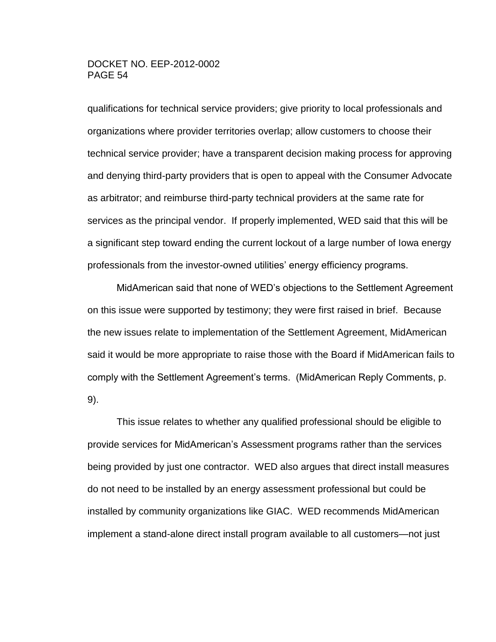qualifications for technical service providers; give priority to local professionals and organizations where provider territories overlap; allow customers to choose their technical service provider; have a transparent decision making process for approving and denying third-party providers that is open to appeal with the Consumer Advocate as arbitrator; and reimburse third-party technical providers at the same rate for services as the principal vendor. If properly implemented, WED said that this will be a significant step toward ending the current lockout of a large number of Iowa energy professionals from the investor-owned utilities' energy efficiency programs.

MidAmerican said that none of WED's objections to the Settlement Agreement on this issue were supported by testimony; they were first raised in brief. Because the new issues relate to implementation of the Settlement Agreement, MidAmerican said it would be more appropriate to raise those with the Board if MidAmerican fails to comply with the Settlement Agreement's terms. (MidAmerican Reply Comments, p. 9).

This issue relates to whether any qualified professional should be eligible to provide services for MidAmerican's Assessment programs rather than the services being provided by just one contractor. WED also argues that direct install measures do not need to be installed by an energy assessment professional but could be installed by community organizations like GIAC. WED recommends MidAmerican implement a stand-alone direct install program available to all customers—not just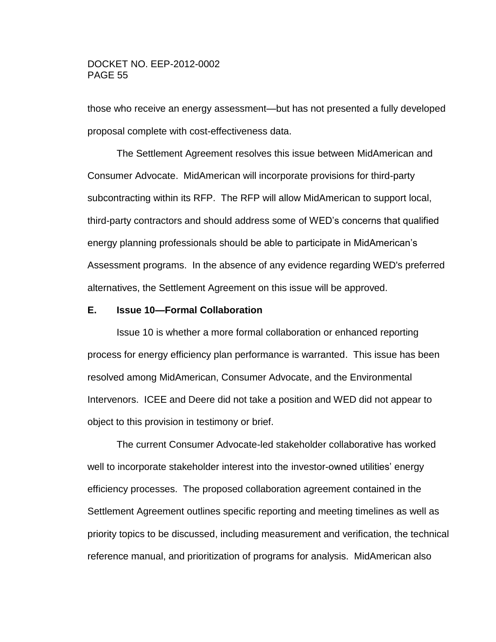those who receive an energy assessment—but has not presented a fully developed proposal complete with cost-effectiveness data.

The Settlement Agreement resolves this issue between MidAmerican and Consumer Advocate. MidAmerican will incorporate provisions for third-party subcontracting within its RFP. The RFP will allow MidAmerican to support local, third-party contractors and should address some of WED's concerns that qualified energy planning professionals should be able to participate in MidAmerican's Assessment programs. In the absence of any evidence regarding WED's preferred alternatives, the Settlement Agreement on this issue will be approved.

#### <span id="page-54-0"></span>**E. Issue 10—Formal Collaboration**

Issue 10 is whether a more formal collaboration or enhanced reporting process for energy efficiency plan performance is warranted. This issue has been resolved among MidAmerican, Consumer Advocate, and the Environmental Intervenors. ICEE and Deere did not take a position and WED did not appear to object to this provision in testimony or brief.

The current Consumer Advocate-led stakeholder collaborative has worked well to incorporate stakeholder interest into the investor-owned utilities' energy efficiency processes. The proposed collaboration agreement contained in the Settlement Agreement outlines specific reporting and meeting timelines as well as priority topics to be discussed, including measurement and verification, the technical reference manual, and prioritization of programs for analysis. MidAmerican also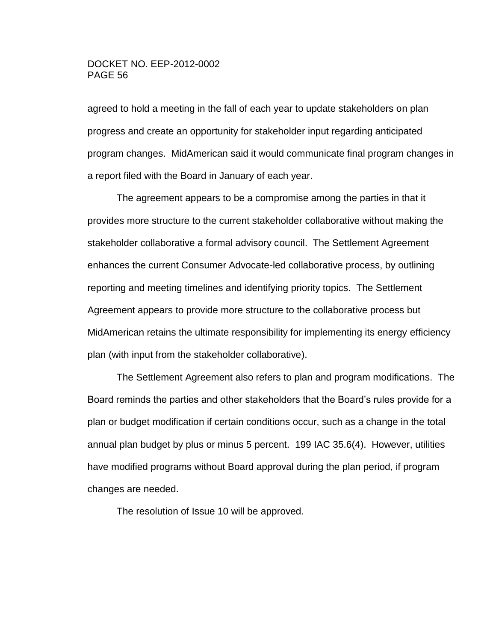agreed to hold a meeting in the fall of each year to update stakeholders on plan progress and create an opportunity for stakeholder input regarding anticipated program changes. MidAmerican said it would communicate final program changes in a report filed with the Board in January of each year.

The agreement appears to be a compromise among the parties in that it provides more structure to the current stakeholder collaborative without making the stakeholder collaborative a formal advisory council. The Settlement Agreement enhances the current Consumer Advocate-led collaborative process, by outlining reporting and meeting timelines and identifying priority topics. The Settlement Agreement appears to provide more structure to the collaborative process but MidAmerican retains the ultimate responsibility for implementing its energy efficiency plan (with input from the stakeholder collaborative).

The Settlement Agreement also refers to plan and program modifications. The Board reminds the parties and other stakeholders that the Board's rules provide for a plan or budget modification if certain conditions occur, such as a change in the total annual plan budget by plus or minus 5 percent. 199 IAC 35.6(4). However, utilities have modified programs without Board approval during the plan period, if program changes are needed.

The resolution of Issue 10 will be approved.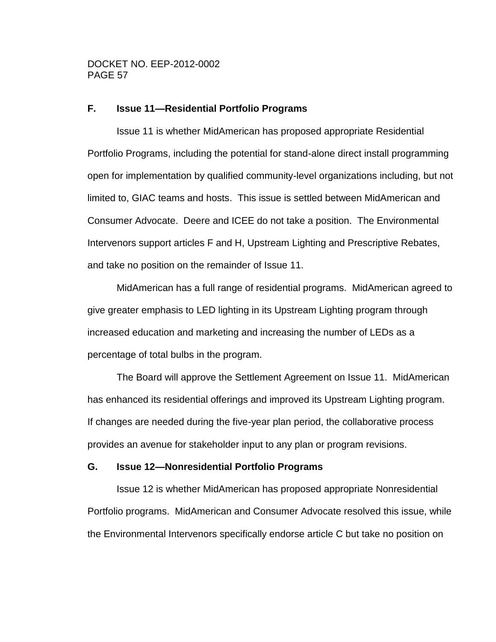## <span id="page-56-0"></span>**F. Issue 11—Residential Portfolio Programs**

Issue 11 is whether MidAmerican has proposed appropriate Residential Portfolio Programs, including the potential for stand-alone direct install programming open for implementation by qualified community-level organizations including, but not limited to, GIAC teams and hosts. This issue is settled between MidAmerican and Consumer Advocate. Deere and ICEE do not take a position. The Environmental Intervenors support articles F and H, Upstream Lighting and Prescriptive Rebates, and take no position on the remainder of Issue 11.

MidAmerican has a full range of residential programs. MidAmerican agreed to give greater emphasis to LED lighting in its Upstream Lighting program through increased education and marketing and increasing the number of LEDs as a percentage of total bulbs in the program.

The Board will approve the Settlement Agreement on Issue 11. MidAmerican has enhanced its residential offerings and improved its Upstream Lighting program. If changes are needed during the five-year plan period, the collaborative process provides an avenue for stakeholder input to any plan or program revisions.

#### <span id="page-56-1"></span>**G. Issue 12—Nonresidential Portfolio Programs**

Issue 12 is whether MidAmerican has proposed appropriate Nonresidential Portfolio programs. MidAmerican and Consumer Advocate resolved this issue, while the Environmental Intervenors specifically endorse article C but take no position on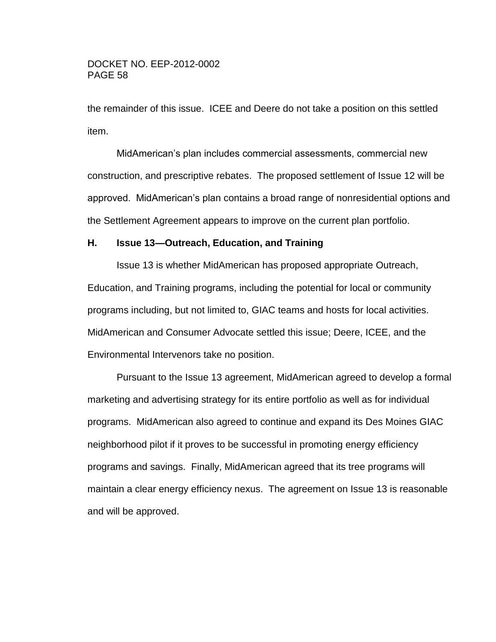the remainder of this issue. ICEE and Deere do not take a position on this settled item.

MidAmerican's plan includes commercial assessments, commercial new construction, and prescriptive rebates. The proposed settlement of Issue 12 will be approved. MidAmerican's plan contains a broad range of nonresidential options and the Settlement Agreement appears to improve on the current plan portfolio.

## <span id="page-57-0"></span>**H. Issue 13—Outreach, Education, and Training**

Issue 13 is whether MidAmerican has proposed appropriate Outreach, Education, and Training programs, including the potential for local or community programs including, but not limited to, GIAC teams and hosts for local activities. MidAmerican and Consumer Advocate settled this issue; Deere, ICEE, and the Environmental Intervenors take no position.

Pursuant to the Issue 13 agreement, MidAmerican agreed to develop a formal marketing and advertising strategy for its entire portfolio as well as for individual programs. MidAmerican also agreed to continue and expand its Des Moines GIAC neighborhood pilot if it proves to be successful in promoting energy efficiency programs and savings. Finally, MidAmerican agreed that its tree programs will maintain a clear energy efficiency nexus. The agreement on Issue 13 is reasonable and will be approved.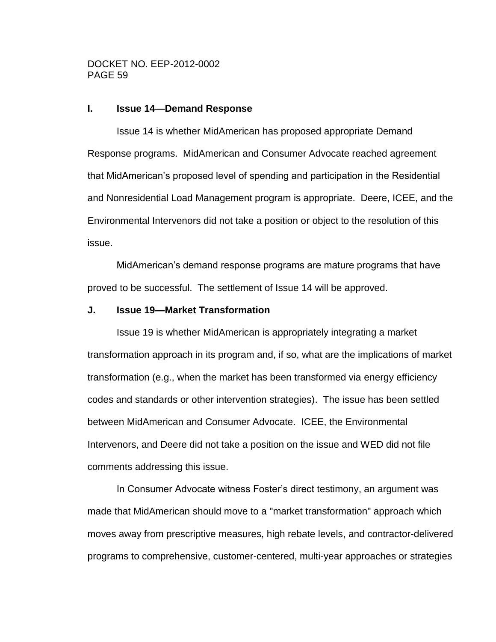#### <span id="page-58-0"></span>**I. Issue 14—Demand Response**

Issue 14 is whether MidAmerican has proposed appropriate Demand Response programs. MidAmerican and Consumer Advocate reached agreement that MidAmerican's proposed level of spending and participation in the Residential and Nonresidential Load Management program is appropriate. Deere, ICEE, and the Environmental Intervenors did not take a position or object to the resolution of this issue.

MidAmerican's demand response programs are mature programs that have proved to be successful. The settlement of Issue 14 will be approved.

#### <span id="page-58-1"></span>**J. Issue 19—Market Transformation**

Issue 19 is whether MidAmerican is appropriately integrating a market transformation approach in its program and, if so, what are the implications of market transformation (e.g., when the market has been transformed via energy efficiency codes and standards or other intervention strategies). The issue has been settled between MidAmerican and Consumer Advocate. ICEE, the Environmental Intervenors, and Deere did not take a position on the issue and WED did not file comments addressing this issue.

In Consumer Advocate witness Foster's direct testimony, an argument was made that MidAmerican should move to a "market transformation" approach which moves away from prescriptive measures, high rebate levels, and contractor-delivered programs to comprehensive, customer-centered, multi-year approaches or strategies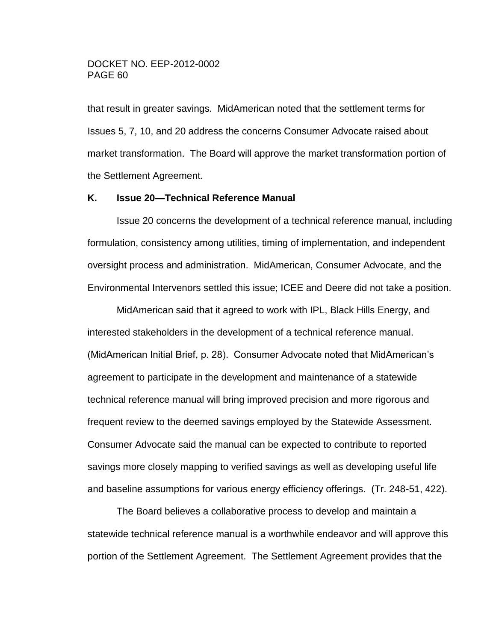that result in greater savings. MidAmerican noted that the settlement terms for Issues 5, 7, 10, and 20 address the concerns Consumer Advocate raised about market transformation. The Board will approve the market transformation portion of the Settlement Agreement.

#### <span id="page-59-0"></span>**K. Issue 20—Technical Reference Manual**

Issue 20 concerns the development of a technical reference manual, including formulation, consistency among utilities, timing of implementation, and independent oversight process and administration. MidAmerican, Consumer Advocate, and the Environmental Intervenors settled this issue; ICEE and Deere did not take a position.

MidAmerican said that it agreed to work with IPL, Black Hills Energy, and interested stakeholders in the development of a technical reference manual. (MidAmerican Initial Brief, p. 28). Consumer Advocate noted that MidAmerican's agreement to participate in the development and maintenance of a statewide technical reference manual will bring improved precision and more rigorous and frequent review to the deemed savings employed by the Statewide Assessment. Consumer Advocate said the manual can be expected to contribute to reported savings more closely mapping to verified savings as well as developing useful life and baseline assumptions for various energy efficiency offerings. (Tr. 248-51, 422).

The Board believes a collaborative process to develop and maintain a statewide technical reference manual is a worthwhile endeavor and will approve this portion of the Settlement Agreement. The Settlement Agreement provides that the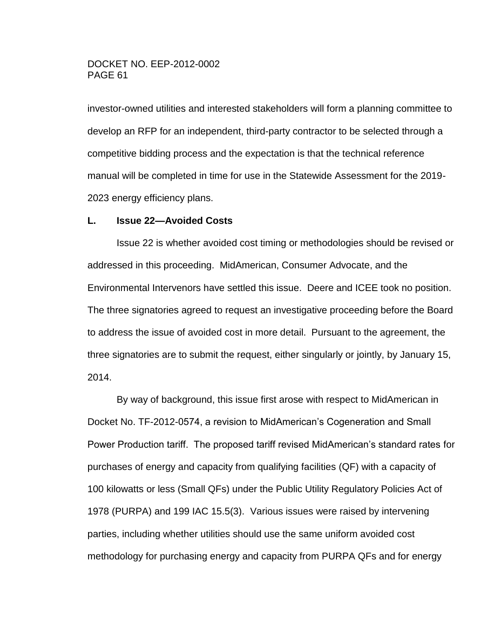investor-owned utilities and interested stakeholders will form a planning committee to develop an RFP for an independent, third-party contractor to be selected through a competitive bidding process and the expectation is that the technical reference manual will be completed in time for use in the Statewide Assessment for the 2019- 2023 energy efficiency plans.

#### <span id="page-60-0"></span>**L. Issue 22—Avoided Costs**

Issue 22 is whether avoided cost timing or methodologies should be revised or addressed in this proceeding. MidAmerican, Consumer Advocate, and the Environmental Intervenors have settled this issue. Deere and ICEE took no position. The three signatories agreed to request an investigative proceeding before the Board to address the issue of avoided cost in more detail. Pursuant to the agreement, the three signatories are to submit the request, either singularly or jointly, by January 15, 2014.

By way of background, this issue first arose with respect to MidAmerican in Docket No. TF-2012-0574, a revision to MidAmerican's Cogeneration and Small Power Production tariff. The proposed tariff revised MidAmerican's standard rates for purchases of energy and capacity from qualifying facilities (QF) with a capacity of 100 kilowatts or less (Small QFs) under the Public Utility Regulatory Policies Act of 1978 (PURPA) and 199 IAC 15.5(3). Various issues were raised by intervening parties, including whether utilities should use the same uniform avoided cost methodology for purchasing energy and capacity from PURPA QFs and for energy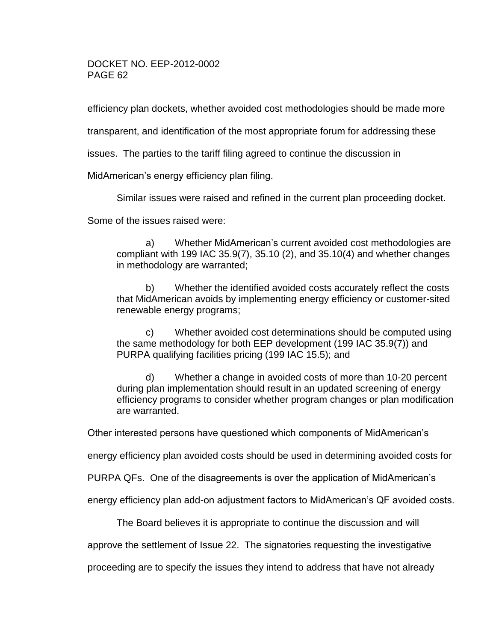efficiency plan dockets, whether avoided cost methodologies should be made more

transparent, and identification of the most appropriate forum for addressing these

issues. The parties to the tariff filing agreed to continue the discussion in

MidAmerican's energy efficiency plan filing.

Similar issues were raised and refined in the current plan proceeding docket.

Some of the issues raised were:

a) Whether MidAmerican's current avoided cost methodologies are compliant with 199 IAC 35.9(7), 35.10 (2), and 35.10(4) and whether changes in methodology are warranted;

b) Whether the identified avoided costs accurately reflect the costs that MidAmerican avoids by implementing energy efficiency or customer-sited renewable energy programs;

c) Whether avoided cost determinations should be computed using the same methodology for both EEP development (199 IAC 35.9(7)) and PURPA qualifying facilities pricing (199 IAC 15.5); and

d) Whether a change in avoided costs of more than 10-20 percent during plan implementation should result in an updated screening of energy efficiency programs to consider whether program changes or plan modification are warranted.

Other interested persons have questioned which components of MidAmerican's

energy efficiency plan avoided costs should be used in determining avoided costs for

PURPA QFs. One of the disagreements is over the application of MidAmerican's

energy efficiency plan add-on adjustment factors to MidAmerican's QF avoided costs.

The Board believes it is appropriate to continue the discussion and will

approve the settlement of Issue 22. The signatories requesting the investigative

proceeding are to specify the issues they intend to address that have not already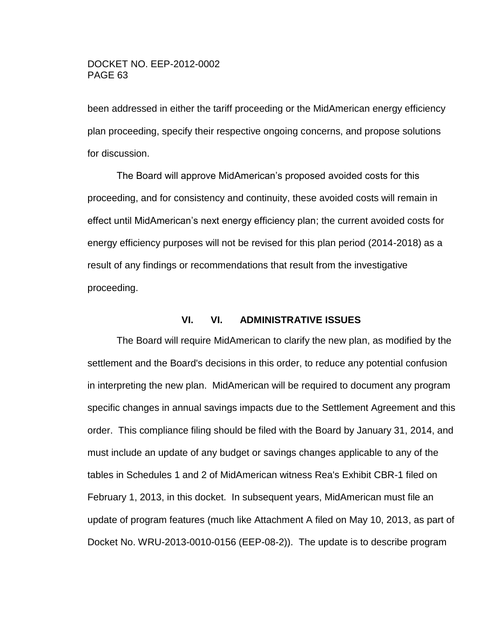been addressed in either the tariff proceeding or the MidAmerican energy efficiency plan proceeding, specify their respective ongoing concerns, and propose solutions for discussion.

The Board will approve MidAmerican's proposed avoided costs for this proceeding, and for consistency and continuity, these avoided costs will remain in effect until MidAmerican's next energy efficiency plan; the current avoided costs for energy efficiency purposes will not be revised for this plan period (2014-2018) as a result of any findings or recommendations that result from the investigative proceeding.

#### **VI. VI. ADMINISTRATIVE ISSUES**

<span id="page-62-0"></span>The Board will require MidAmerican to clarify the new plan, as modified by the settlement and the Board's decisions in this order, to reduce any potential confusion in interpreting the new plan. MidAmerican will be required to document any program specific changes in annual savings impacts due to the Settlement Agreement and this order. This compliance filing should be filed with the Board by January 31, 2014, and must include an update of any budget or savings changes applicable to any of the tables in Schedules 1 and 2 of MidAmerican witness Rea's Exhibit CBR-1 filed on February 1, 2013, in this docket. In subsequent years, MidAmerican must file an update of program features (much like Attachment A filed on May 10, 2013, as part of Docket No. WRU-2013-0010-0156 (EEP-08-2)). The update is to describe program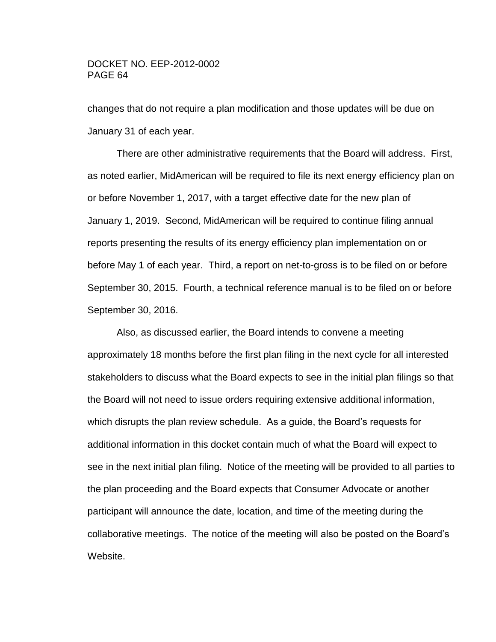changes that do not require a plan modification and those updates will be due on January 31 of each year.

There are other administrative requirements that the Board will address. First, as noted earlier, MidAmerican will be required to file its next energy efficiency plan on or before November 1, 2017, with a target effective date for the new plan of January 1, 2019. Second, MidAmerican will be required to continue filing annual reports presenting the results of its energy efficiency plan implementation on or before May 1 of each year. Third, a report on net-to-gross is to be filed on or before September 30, 2015. Fourth, a technical reference manual is to be filed on or before September 30, 2016.

Also, as discussed earlier, the Board intends to convene a meeting approximately 18 months before the first plan filing in the next cycle for all interested stakeholders to discuss what the Board expects to see in the initial plan filings so that the Board will not need to issue orders requiring extensive additional information, which disrupts the plan review schedule. As a guide, the Board's requests for additional information in this docket contain much of what the Board will expect to see in the next initial plan filing. Notice of the meeting will be provided to all parties to the plan proceeding and the Board expects that Consumer Advocate or another participant will announce the date, location, and time of the meeting during the collaborative meetings. The notice of the meeting will also be posted on the Board's Website.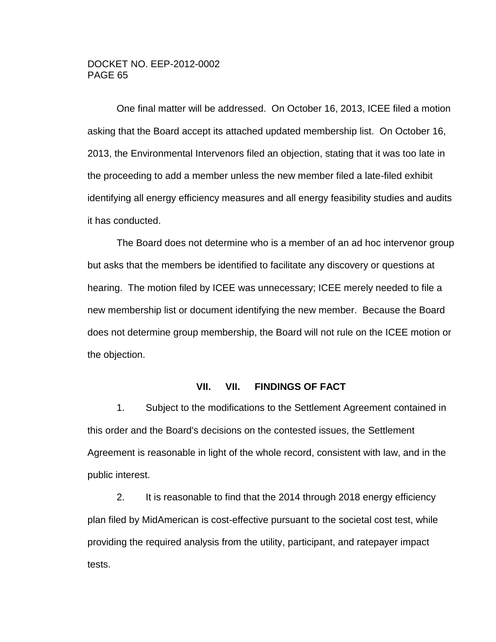One final matter will be addressed. On October 16, 2013, ICEE filed a motion asking that the Board accept its attached updated membership list. On October 16, 2013, the Environmental Intervenors filed an objection, stating that it was too late in the proceeding to add a member unless the new member filed a late-filed exhibit identifying all energy efficiency measures and all energy feasibility studies and audits it has conducted.

The Board does not determine who is a member of an ad hoc intervenor group but asks that the members be identified to facilitate any discovery or questions at hearing. The motion filed by ICEE was unnecessary; ICEE merely needed to file a new membership list or document identifying the new member. Because the Board does not determine group membership, the Board will not rule on the ICEE motion or the objection.

## **VII. VII. FINDINGS OF FACT**

<span id="page-64-0"></span>1. Subject to the modifications to the Settlement Agreement contained in this order and the Board's decisions on the contested issues, the Settlement Agreement is reasonable in light of the whole record, consistent with law, and in the public interest.

2. It is reasonable to find that the 2014 through 2018 energy efficiency plan filed by MidAmerican is cost-effective pursuant to the societal cost test, while providing the required analysis from the utility, participant, and ratepayer impact tests.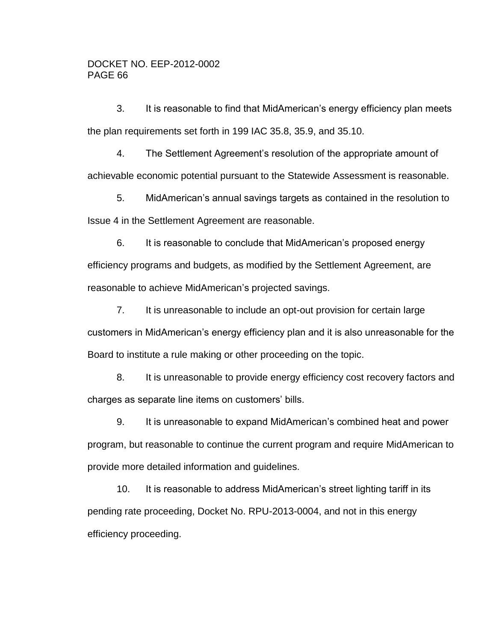3. It is reasonable to find that MidAmerican's energy efficiency plan meets the plan requirements set forth in 199 IAC 35.8, 35.9, and 35.10.

4. The Settlement Agreement's resolution of the appropriate amount of achievable economic potential pursuant to the Statewide Assessment is reasonable.

5. MidAmerican's annual savings targets as contained in the resolution to Issue 4 in the Settlement Agreement are reasonable.

6. It is reasonable to conclude that MidAmerican's proposed energy efficiency programs and budgets, as modified by the Settlement Agreement, are reasonable to achieve MidAmerican's projected savings.

7. It is unreasonable to include an opt-out provision for certain large customers in MidAmerican's energy efficiency plan and it is also unreasonable for the Board to institute a rule making or other proceeding on the topic.

8. It is unreasonable to provide energy efficiency cost recovery factors and charges as separate line items on customers' bills.

9. It is unreasonable to expand MidAmerican's combined heat and power program, but reasonable to continue the current program and require MidAmerican to provide more detailed information and guidelines.

10. It is reasonable to address MidAmerican's street lighting tariff in its pending rate proceeding, Docket No. RPU-2013-0004, and not in this energy efficiency proceeding.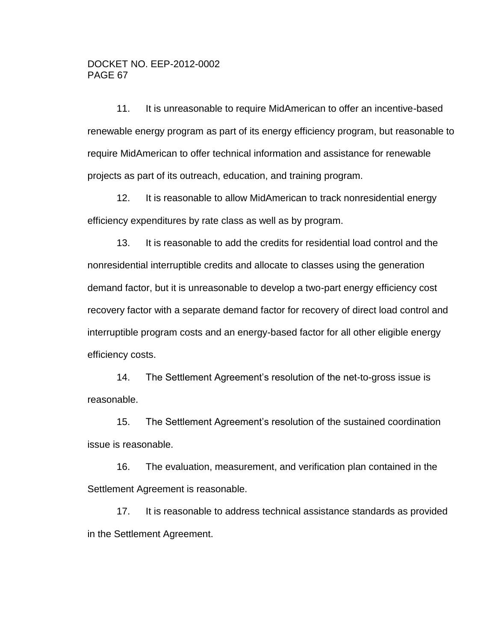11. It is unreasonable to require MidAmerican to offer an incentive-based renewable energy program as part of its energy efficiency program, but reasonable to require MidAmerican to offer technical information and assistance for renewable projects as part of its outreach, education, and training program.

12. It is reasonable to allow MidAmerican to track nonresidential energy efficiency expenditures by rate class as well as by program.

13. It is reasonable to add the credits for residential load control and the nonresidential interruptible credits and allocate to classes using the generation demand factor, but it is unreasonable to develop a two-part energy efficiency cost recovery factor with a separate demand factor for recovery of direct load control and interruptible program costs and an energy-based factor for all other eligible energy efficiency costs.

14. The Settlement Agreement's resolution of the net-to-gross issue is reasonable.

15. The Settlement Agreement's resolution of the sustained coordination issue is reasonable.

16. The evaluation, measurement, and verification plan contained in the Settlement Agreement is reasonable.

17. It is reasonable to address technical assistance standards as provided in the Settlement Agreement.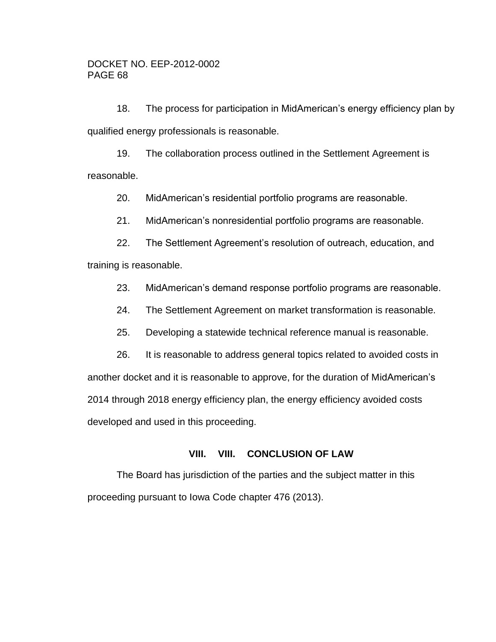18. The process for participation in MidAmerican's energy efficiency plan by qualified energy professionals is reasonable.

19. The collaboration process outlined in the Settlement Agreement is reasonable.

20. MidAmerican's residential portfolio programs are reasonable.

21. MidAmerican's nonresidential portfolio programs are reasonable.

22. The Settlement Agreement's resolution of outreach, education, and training is reasonable.

23. MidAmerican's demand response portfolio programs are reasonable.

24. The Settlement Agreement on market transformation is reasonable.

25. Developing a statewide technical reference manual is reasonable.

26. It is reasonable to address general topics related to avoided costs in another docket and it is reasonable to approve, for the duration of MidAmerican's 2014 through 2018 energy efficiency plan, the energy efficiency avoided costs developed and used in this proceeding.

## **VIII. VIII. CONCLUSION OF LAW**

<span id="page-67-0"></span>The Board has jurisdiction of the parties and the subject matter in this proceeding pursuant to Iowa Code chapter 476 (2013).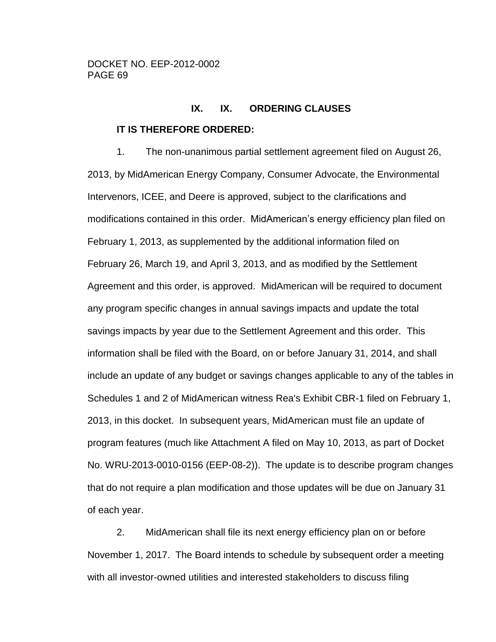# **IX. IX. ORDERING CLAUSES**

## <span id="page-68-0"></span>**IT IS THEREFORE ORDERED:**

1. The non-unanimous partial settlement agreement filed on August 26, 2013, by MidAmerican Energy Company, Consumer Advocate, the Environmental Intervenors, ICEE, and Deere is approved, subject to the clarifications and modifications contained in this order. MidAmerican's energy efficiency plan filed on February 1, 2013, as supplemented by the additional information filed on February 26, March 19, and April 3, 2013, and as modified by the Settlement Agreement and this order, is approved. MidAmerican will be required to document any program specific changes in annual savings impacts and update the total savings impacts by year due to the Settlement Agreement and this order. This information shall be filed with the Board, on or before January 31, 2014, and shall include an update of any budget or savings changes applicable to any of the tables in Schedules 1 and 2 of MidAmerican witness Rea's Exhibit CBR-1 filed on February 1, 2013, in this docket. In subsequent years, MidAmerican must file an update of program features (much like Attachment A filed on May 10, 2013, as part of Docket No. WRU-2013-0010-0156 (EEP-08-2)). The update is to describe program changes that do not require a plan modification and those updates will be due on January 31 of each year.

2. MidAmerican shall file its next energy efficiency plan on or before November 1, 2017. The Board intends to schedule by subsequent order a meeting with all investor-owned utilities and interested stakeholders to discuss filing